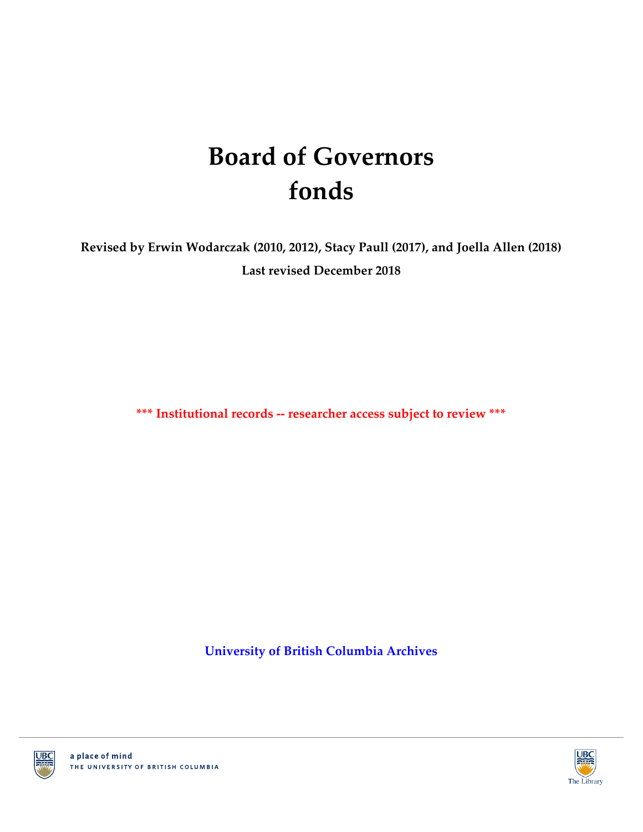# **Board of Governors fonds**

**Revised by Erwin Wodarczak (2010, 2012), Stacy Paull (2017), and Joella Allen (2018) Last revised December 2018**

**\*\*\* Institutional records -- researcher access subject to review \*\*\***

**[University of British Columbia Archives](http://www.library.ubc.ca/archives/)**



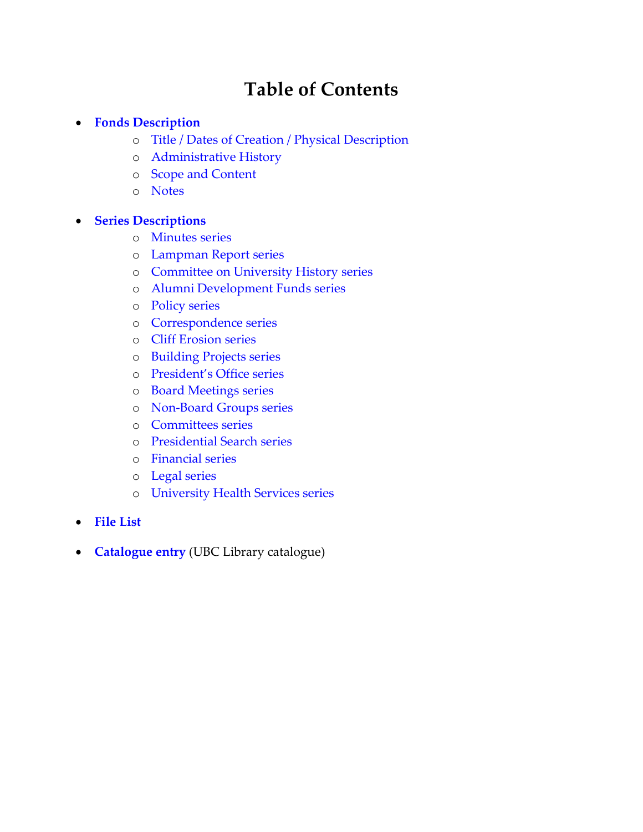# **Table of Contents**

### **[Fonds Description](#page-2-0)**

- o [Title / Dates of Creation / Physical Description](#page-2-1)
- o [Administrative History](#page-2-2)
- o [Scope and Content](#page-2-3)
- o [Notes](#page-3-0)

### **[Series Descriptions](#page-4-0)**

- o [Minutes series](#page-4-1)
- o [Lampman Report series](#page-4-2)
- o [Committee on University History](#page-4-3) series
- o [Alumni Development Funds series](#page-8-0)
- o [Policy series](#page-4-4)
- o [Correspondence series](#page-5-0)
- o [Cliff Erosion series](#page-5-1)
- o [Building Projects series](#page-5-2)
- o [President's Office series](#page-5-3)
- o [Board Meetings series](#page-5-4)
- o [Non-Board Groups series](#page-5-5)
- o [Committees series](#page-5-6)
- o [Presidential Search series](#page-6-0)
- o [Financial series](#page-6-1)
- o [Legal series](#page-6-2)
- o [University Health Services series](#page-6-3)
- **[File List](#page-7-0)**
- **[Catalogue entry](http://resolve.library.ubc.ca/cgi-bin/catsearch?title=Board+of+Governors+fonds)** (UBC Library catalogue)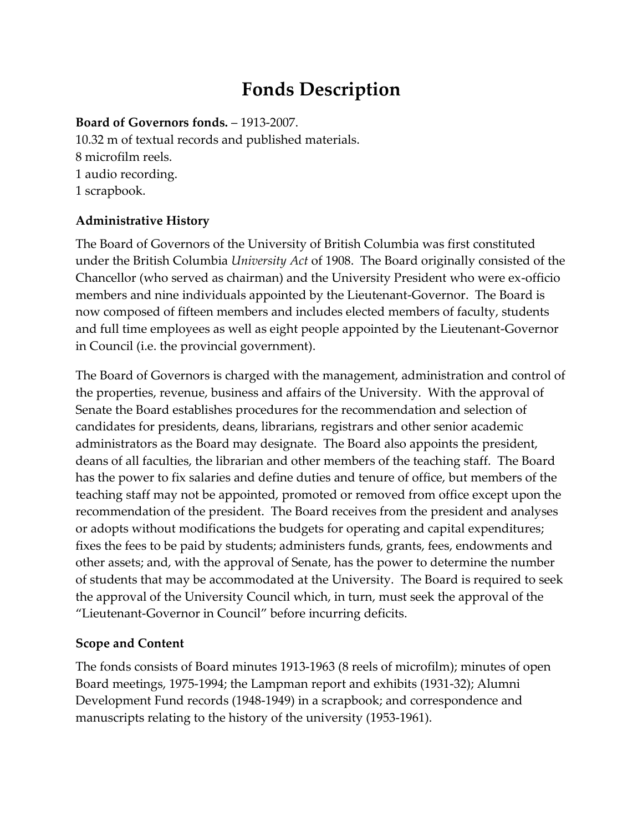# **Fonds Description**

### <span id="page-2-1"></span><span id="page-2-0"></span>**Board of Governors fonds.** – 1913-2007.

10.32 m of textual records and published materials. 8 microfilm reels. 1 audio recording. 1 scrapbook.

# <span id="page-2-2"></span>**Administrative History**

The Board of Governors of the University of British Columbia was first constituted under the British Columbia *University Act* of 1908. The Board originally consisted of the Chancellor (who served as chairman) and the University President who were ex-officio members and nine individuals appointed by the Lieutenant-Governor. The Board is now composed of fifteen members and includes elected members of faculty, students and full time employees as well as eight people appointed by the Lieutenant-Governor in Council (i.e. the provincial government).

The Board of Governors is charged with the management, administration and control of the properties, revenue, business and affairs of the University. With the approval of Senate the Board establishes procedures for the recommendation and selection of candidates for presidents, deans, librarians, registrars and other senior academic administrators as the Board may designate. The Board also appoints the president, deans of all faculties, the librarian and other members of the teaching staff. The Board has the power to fix salaries and define duties and tenure of office, but members of the teaching staff may not be appointed, promoted or removed from office except upon the recommendation of the president. The Board receives from the president and analyses or adopts without modifications the budgets for operating and capital expenditures; fixes the fees to be paid by students; administers funds, grants, fees, endowments and other assets; and, with the approval of Senate, has the power to determine the number of students that may be accommodated at the University. The Board is required to seek the approval of the University Council which, in turn, must seek the approval of the "Lieutenant-Governor in Council" before incurring deficits.

# <span id="page-2-3"></span>**Scope and Content**

The fonds consists of Board minutes 1913-1963 (8 reels of microfilm); minutes of open Board meetings, 1975-1994; the Lampman report and exhibits (1931-32); Alumni Development Fund records (1948-1949) in a scrapbook; and correspondence and manuscripts relating to the history of the university (1953-1961).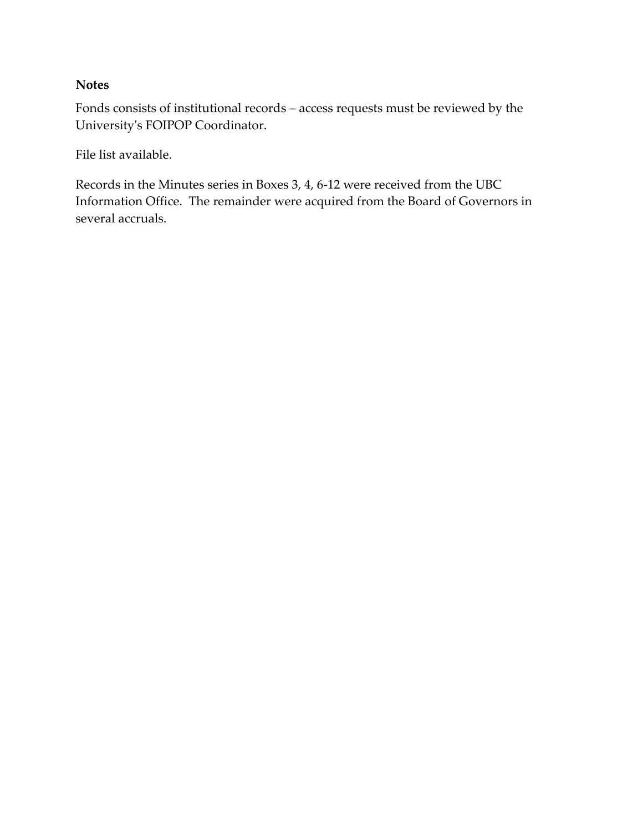### <span id="page-3-0"></span>**Notes**

Fonds consists of institutional records – access requests must be reviewed by the University's FOIPOP Coordinator.

File list available.

Records in the Minutes series in Boxes 3, 4, 6-12 were received from the UBC Information Office. The remainder were acquired from the Board of Governors in several accruals.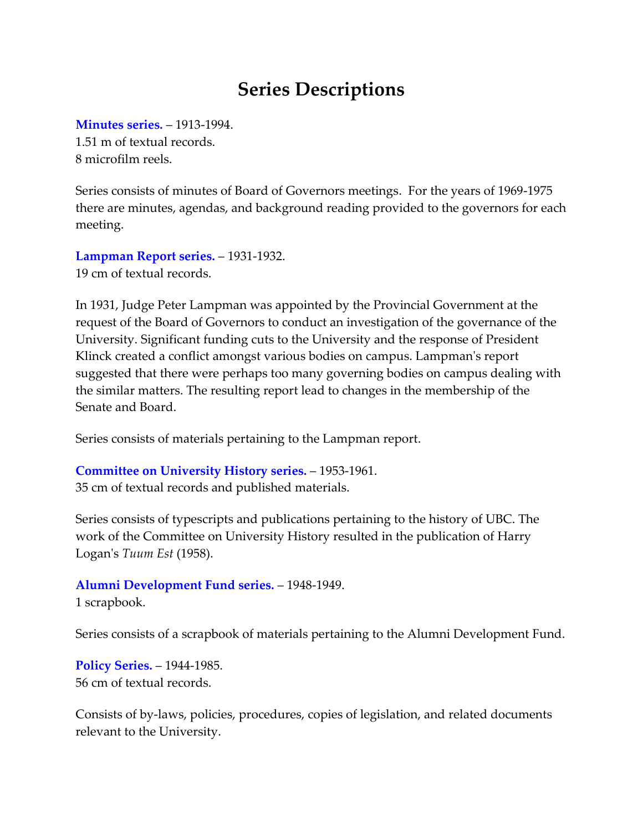# <span id="page-4-2"></span>**Series Descriptions**

<span id="page-4-1"></span><span id="page-4-0"></span>**[Minutes series.](#page-7-1)** – 1913-1994.

1.51 m of textual records. 8 microfilm reels.

Series consists of minutes of Board of Governors meetings. For the years of 1969-1975 there are minutes, agendas, and background reading provided to the governors for each meeting.

**[Lampman Report series.](#page-7-2)** – 1931-1932. 19 cm of textual records.

In 1931, Judge Peter Lampman was appointed by the Provincial Government at the request of the Board of Governors to conduct an investigation of the governance of the University. Significant funding cuts to the University and the response of President Klinck created a conflict amongst various bodies on campus. Lampman's report suggested that there were perhaps too many governing bodies on campus dealing with the similar matters. The resulting report lead to changes in the membership of the Senate and Board.

<span id="page-4-3"></span>Series consists of materials pertaining to the Lampman report.

**[Committee on University History](#page-7-3) series.** – 1953-1961. 35 cm of textual records and published materials.

Series consists of typescripts and publications pertaining to the history of UBC. The work of the Committee on University History resulted in the publication of Harry Logan's *Tuum Est* (1958).

**[Alumni Development Fund series.](#page-8-1)** – 1948-1949.

1 scrapbook.

Series consists of a scrapbook of materials pertaining to the Alumni Development Fund.

<span id="page-4-4"></span>**[Policy Series.](#page-8-0)** – 1944-1985. 56 cm of textual records.

Consists of by-laws, policies, procedures, copies of legislation, and related documents relevant to the University.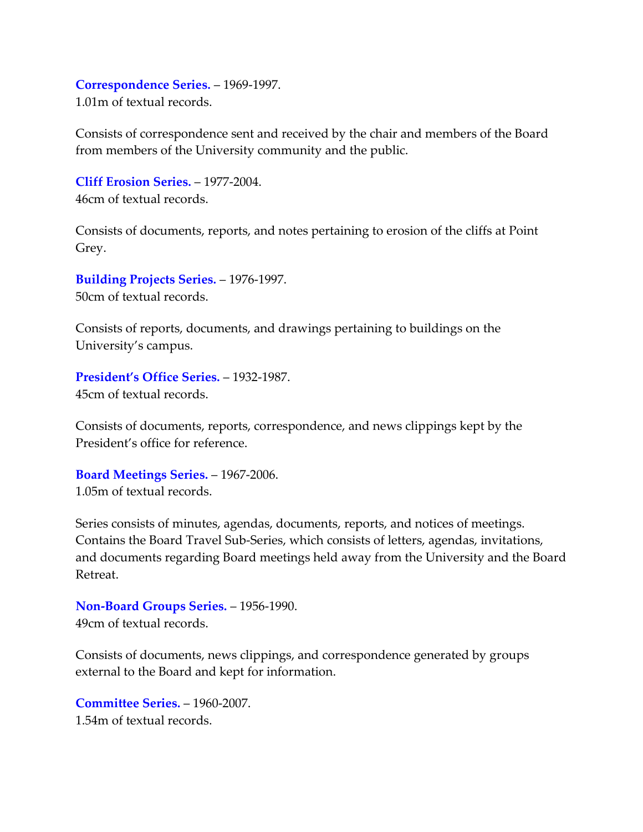#### <span id="page-5-0"></span>**[Correspondence Series.](#page-12-0)** – 1969-1997.

1.01m of textual records.

Consists of correspondence sent and received by the chair and members of the Board from members of the University community and the public.

<span id="page-5-1"></span>**[Cliff Erosion Series.](#page-16-0)** – 1977-2004. 46cm of textual records.

Consists of documents, reports, and notes pertaining to erosion of the cliffs at Point Grey.

<span id="page-5-2"></span>**[Building Projects Series.](#page-19-0)** – 1976-1997. 50cm of textual records.

Consists of reports, documents, and drawings pertaining to buildings on the University's campus.

<span id="page-5-3"></span>**[President's Office Series.](#page-22-0)** – 1932-1987. 45cm of textual records.

Consists of documents, reports, correspondence, and news clippings kept by the President's office for reference.

<span id="page-5-4"></span>**[Board Meetings Series.](#page-27-0)** – 1967-2006. 1.05m of textual records.

Series consists of minutes, agendas, documents, reports, and notices of meetings. Contains the Board Travel Sub-Series, which consists of letters, agendas, invitations, and documents regarding Board meetings held away from the University and the Board Retreat.

<span id="page-5-5"></span>**[Non-Board Groups Series.](#page-31-0)** – 1956-1990. 49cm of textual records.

Consists of documents, news clippings, and correspondence generated by groups external to the Board and kept for information.

<span id="page-5-6"></span>**[Committee Series.](#page-33-0)** – 1960-2007. 1.54m of textual records.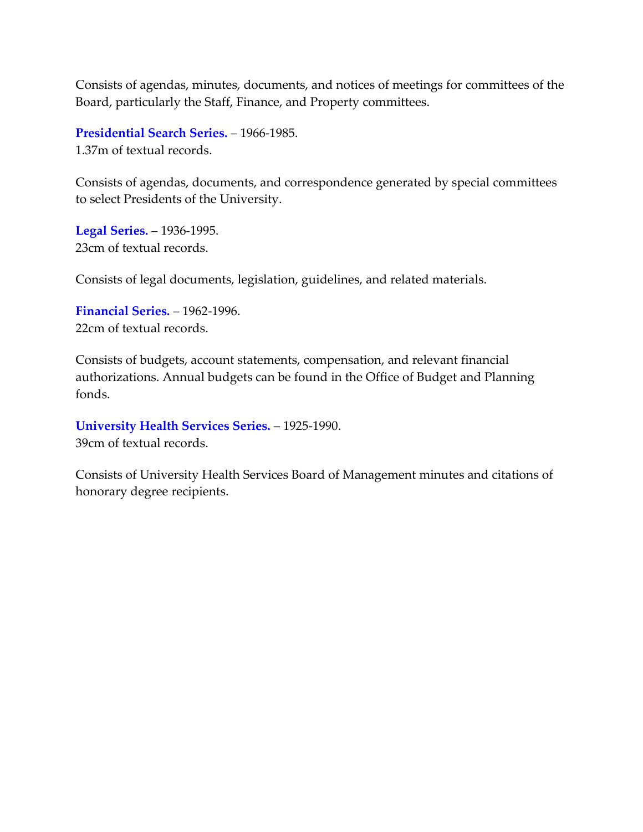Consists of agendas, minutes, documents, and notices of meetings for committees of the Board, particularly the Staff, Finance, and Property committees.

<span id="page-6-0"></span>**[Presidential Search Series.](#page-41-0)** – 1966-1985. 1.37m of textual records.

Consists of agendas, documents, and correspondence generated by special committees to select Presidents of the University.

<span id="page-6-2"></span>**[Legal Series.](#page-42-0)** – 1936-1995. 23cm of textual records.

Consists of legal documents, legislation, guidelines, and related materials.

<span id="page-6-1"></span>**[Financial Series.](#page-43-0)** – 1962-1996. 22cm of textual records.

Consists of budgets, account statements, compensation, and relevant financial authorizations. Annual budgets can be found in the Office of Budget and Planning fonds.

<span id="page-6-3"></span>**[University Health Services Series.](#page-44-0)** – 1925-1990. 39cm of textual records.

Consists of University Health Services Board of Management minutes and citations of honorary degree recipients.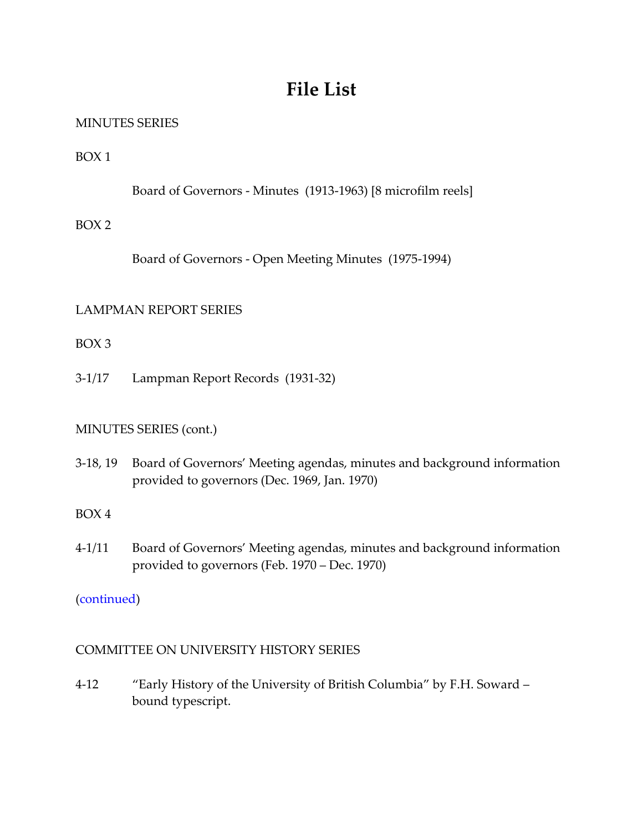# **File List**

# <span id="page-7-1"></span><span id="page-7-0"></span>MINUTES SERIES

BOX 1

Board of Governors - Minutes (1913-1963) [8 microfilm reels]

### BOX 2

Board of Governors - Open Meeting Minutes (1975-1994)

# <span id="page-7-2"></span>LAMPMAN REPORT SERIES

BOX 3

3-1/17 Lampman Report Records (1931-32)

# MINUTES SERIES (cont.)

3-18, 19 Board of Governors' Meeting agendas, minutes and background information provided to governors (Dec. 1969, Jan. 1970)

#### BOX 4

4-1/11 Board of Governors' Meeting agendas, minutes and background information provided to governors (Feb. 1970 – Dec. 1970)

# [\(continued\)](#page-8-2)

# <span id="page-7-3"></span>COMMITTEE ON UNIVERSITY HISTORY SERIES

4-12 "Early History of the University of British Columbia" by F.H. Soward – bound typescript.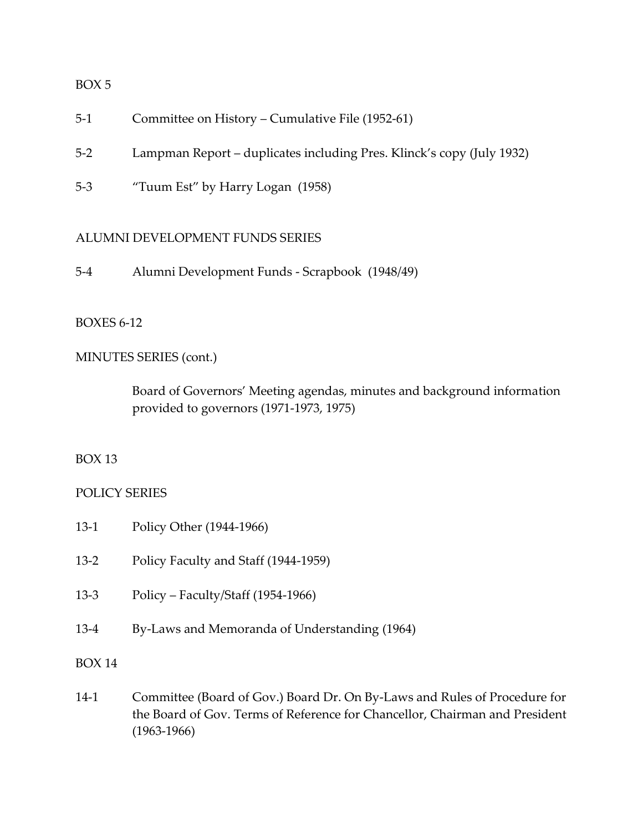- 5-1 Committee on History Cumulative File (1952-61)
- 5-2 Lampman Report duplicates including Pres. Klinck's copy (July 1932)
- 5-3 "Tuum Est" by Harry Logan (1958)

#### <span id="page-8-1"></span>ALUMNI DEVELOPMENT FUNDS SERIES

5-4 Alumni Development Funds - Scrapbook (1948/49)

#### <span id="page-8-2"></span>BOXES 6-12

#### MINUTES SERIES (cont.)

Board of Governors' Meeting agendas, minutes and background information provided to governors (1971-1973, 1975)

#### BOX 13

#### <span id="page-8-0"></span>POLICY SERIES

- 13-1 Policy Other (1944-1966)
- 13-2 Policy Faculty and Staff (1944-1959)
- 13-3 Policy Faculty/Staff (1954-1966)
- 13-4 By-Laws and Memoranda of Understanding (1964)

#### BOX 14

14-1 Committee (Board of Gov.) Board Dr. On By-Laws and Rules of Procedure for the Board of Gov. Terms of Reference for Chancellor, Chairman and President (1963-1966)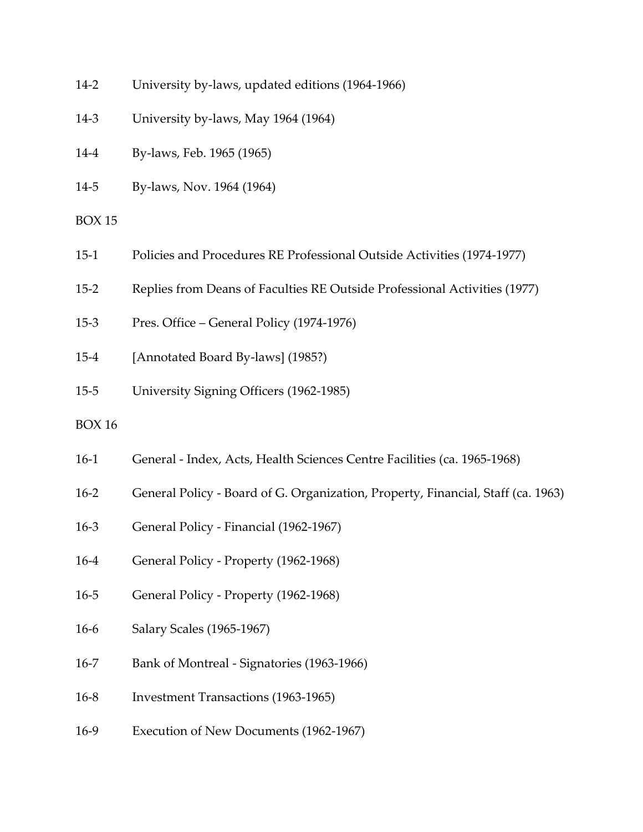- 14-2 University by-laws, updated editions (1964-1966)
- 14-3 University by-laws, May 1964 (1964)
- 14-4 By-laws, Feb. 1965 (1965)
- 14-5 By-laws, Nov. 1964 (1964)
- BOX 15
- 15-1 Policies and Procedures RE Professional Outside Activities (1974-1977)
- 15-2 Replies from Deans of Faculties RE Outside Professional Activities (1977)
- 15-3 Pres. Office General Policy (1974-1976)
- 15-4 [Annotated Board By-laws] (1985?)
- 15-5 University Signing Officers (1962-1985)
- BOX 16
- 16-1 General Index, Acts, Health Sciences Centre Facilities (ca. 1965-1968)
- 16-2 General Policy Board of G. Organization, Property, Financial, Staff (ca. 1963)
- 16-3 General Policy Financial (1962-1967)
- 16-4 General Policy Property (1962-1968)
- 16-5 General Policy Property (1962-1968)
- 16-6 Salary Scales (1965-1967)
- 16-7 Bank of Montreal Signatories (1963-1966)
- 16-8 Investment Transactions (1963-1965)
- 16-9 Execution of New Documents (1962-1967)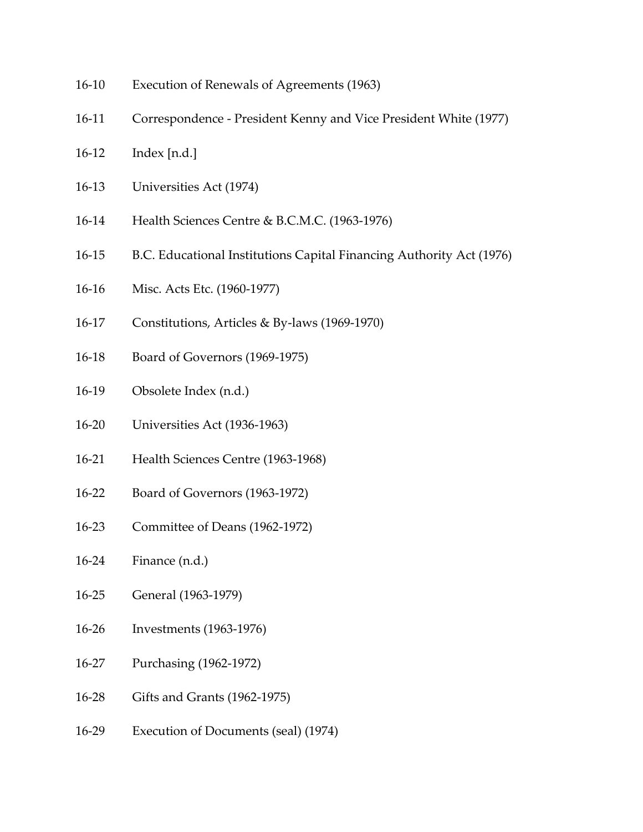- 16-10 Execution of Renewals of Agreements (1963)
- 16-11 Correspondence President Kenny and Vice President White (1977)
- 16-12 Index [n.d.]
- 16-13 Universities Act (1974)
- 16-14 Health Sciences Centre & B.C.M.C. (1963-1976)
- 16-15 B.C. Educational Institutions Capital Financing Authority Act (1976)
- 16-16 Misc. Acts Etc. (1960-1977)
- 16-17 Constitutions, Articles & By-laws (1969-1970)
- 16-18 Board of Governors (1969-1975)
- 16-19 Obsolete Index (n.d.)
- 16-20 Universities Act (1936-1963)
- 16-21 Health Sciences Centre (1963-1968)
- 16-22 Board of Governors (1963-1972)
- 16-23 Committee of Deans (1962-1972)
- 16-24 Finance (n.d.)
- 16-25 General (1963-1979)
- 16-26 Investments (1963-1976)
- 16-27 Purchasing (1962-1972)
- 16-28 Gifts and Grants (1962-1975)
- 16-29 Execution of Documents (seal) (1974)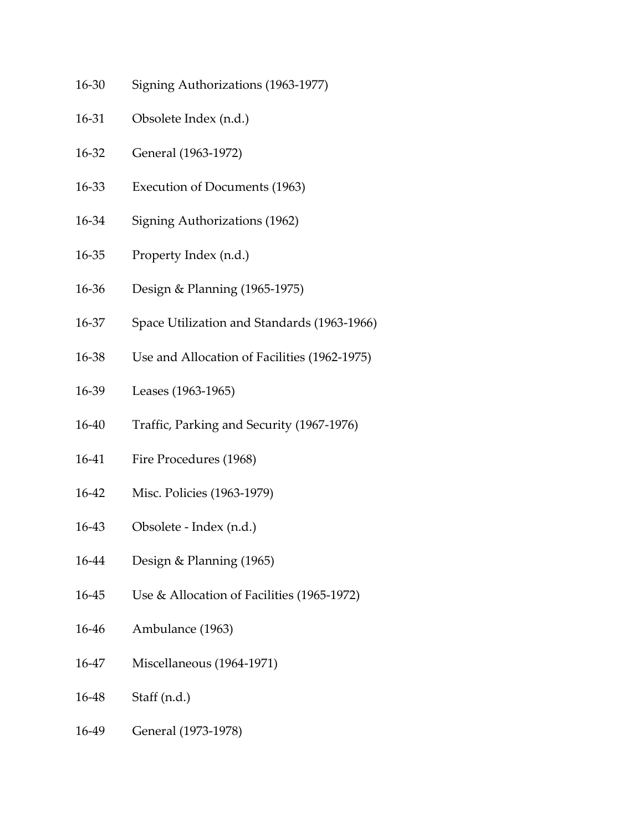- 16-30 Signing Authorizations (1963-1977)
- 16-31 Obsolete Index (n.d.)
- 16-32 General (1963-1972)
- 16-33 Execution of Documents (1963)
- 16-34 Signing Authorizations (1962)
- 16-35 Property Index (n.d.)
- 16-36 Design & Planning (1965-1975)
- 16-37 Space Utilization and Standards (1963-1966)
- 16-38 Use and Allocation of Facilities (1962-1975)
- 16-39 Leases (1963-1965)
- 16-40 Traffic, Parking and Security (1967-1976)
- 16-41 Fire Procedures (1968)
- 16-42 Misc. Policies (1963-1979)
- 16-43 Obsolete Index (n.d.)
- 16-44 Design & Planning (1965)
- 16-45 Use & Allocation of Facilities (1965-1972)
- 16-46 Ambulance (1963)
- 16-47 Miscellaneous (1964-1971)
- 16-48 Staff (n.d.)
- 16-49 General (1973-1978)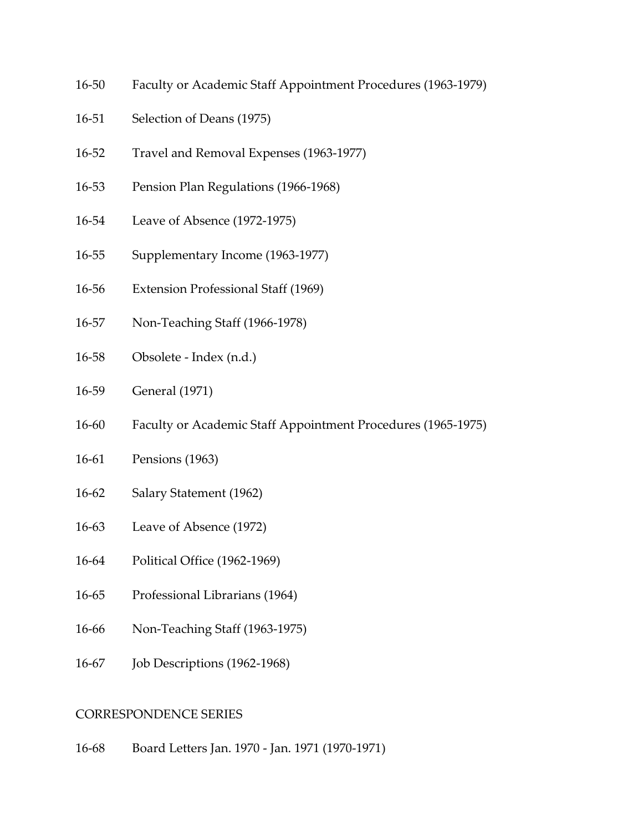- 16-50 Faculty or Academic Staff Appointment Procedures (1963-1979)
- 16-51 Selection of Deans (1975)
- 16-52 Travel and Removal Expenses (1963-1977)
- 16-53 Pension Plan Regulations (1966-1968)
- 16-54 Leave of Absence (1972-1975)
- 16-55 Supplementary Income (1963-1977)
- 16-56 Extension Professional Staff (1969)
- 16-57 Non-Teaching Staff (1966-1978)
- 16-58 Obsolete Index (n.d.)
- 16-59 General (1971)
- 16-60 Faculty or Academic Staff Appointment Procedures (1965-1975)
- 16-61 Pensions (1963)
- 16-62 Salary Statement (1962)
- 16-63 Leave of Absence (1972)
- 16-64 Political Office (1962-1969)
- 16-65 Professional Librarians (1964)
- 16-66 Non-Teaching Staff (1963-1975)
- 16-67 Job Descriptions (1962-1968)

#### <span id="page-12-0"></span>CORRESPONDENCE SERIES

16-68 Board Letters Jan. 1970 - Jan. 1971 (1970-1971)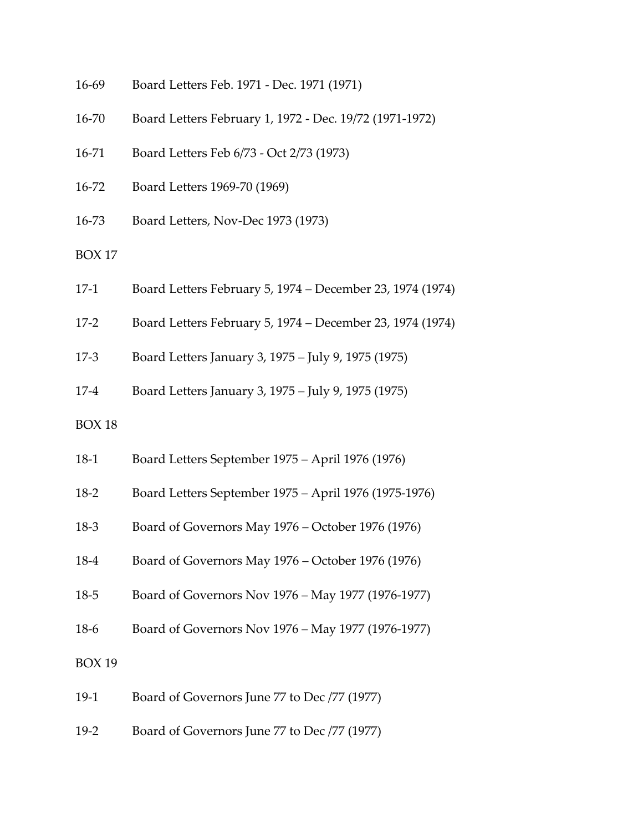| 16-69         | Board Letters Feb. 1971 - Dec. 1971 (1971)                |
|---------------|-----------------------------------------------------------|
| 16-70         | Board Letters February 1, 1972 - Dec. 19/72 (1971-1972)   |
| 16-71         | Board Letters Feb 6/73 - Oct 2/73 (1973)                  |
| 16-72         | Board Letters 1969-70 (1969)                              |
| 16-73         | Board Letters, Nov-Dec 1973 (1973)                        |
| <b>BOX 17</b> |                                                           |
| $17-1$        | Board Letters February 5, 1974 – December 23, 1974 (1974) |
| $17-2$        | Board Letters February 5, 1974 - December 23, 1974 (1974) |
| $17-3$        | Board Letters January 3, 1975 - July 9, 1975 (1975)       |
| $17-4$        | Board Letters January 3, 1975 - July 9, 1975 (1975)       |
| <b>BOX 18</b> |                                                           |
| $18-1$        | Board Letters September 1975 - April 1976 (1976)          |
| $18-2$        | Board Letters September 1975 - April 1976 (1975-1976)     |
| $18 - 3$      | Board of Governors May 1976 - October 1976 (1976)         |
| 18-4          | Board of Governors May 1976 – October 1976 (1976)         |
| $18 - 5$      | Board of Governors Nov 1976 - May 1977 (1976-1977)        |
| $18-6$        | Board of Governors Nov 1976 - May 1977 (1976-1977)        |
| <b>BOX 19</b> |                                                           |
| $19-1$        | Board of Governors June 77 to Dec /77 (1977)              |
| $19-2$        | Board of Governors June 77 to Dec /77 (1977)              |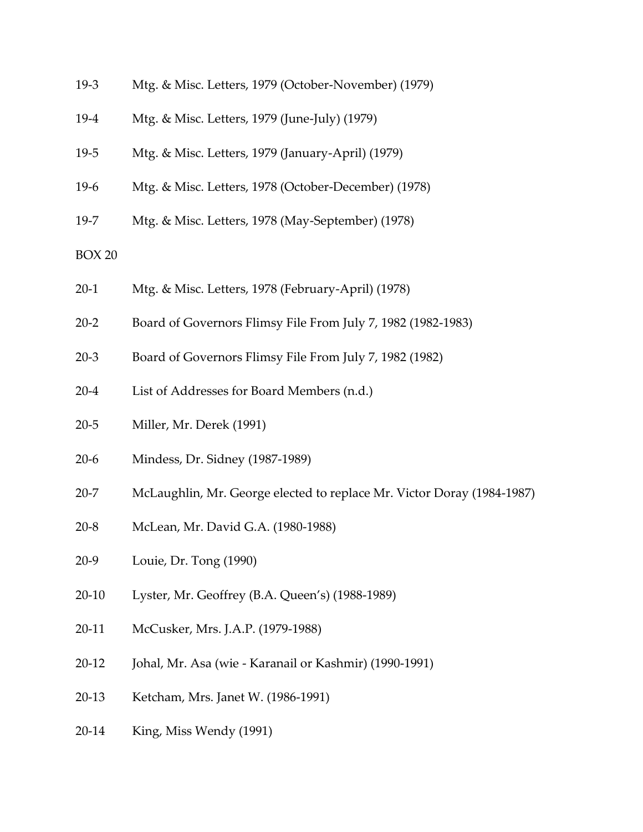- 19-3 Mtg. & Misc. Letters, 1979 (October-November) (1979)
- 19-4 Mtg. & Misc. Letters, 1979 (June-July) (1979)
- 19-5 Mtg. & Misc. Letters, 1979 (January-April) (1979)
- 19-6 Mtg. & Misc. Letters, 1978 (October-December) (1978)
- 19-7 Mtg. & Misc. Letters, 1978 (May-September) (1978)
- BOX 20
- 20-1 Mtg. & Misc. Letters, 1978 (February-April) (1978)
- 20-2 Board of Governors Flimsy File From July 7, 1982 (1982-1983)
- 20-3 Board of Governors Flimsy File From July 7, 1982 (1982)
- 20-4 List of Addresses for Board Members (n.d.)
- 20-5 Miller, Mr. Derek (1991)
- 20-6 Mindess, Dr. Sidney (1987-1989)
- 20-7 McLaughlin, Mr. George elected to replace Mr. Victor Doray (1984-1987)
- 20-8 McLean, Mr. David G.A. (1980-1988)
- 20-9 Louie, Dr. Tong (1990)
- 20-10 Lyster, Mr. Geoffrey (B.A. Queen's) (1988-1989)
- 20-11 McCusker, Mrs. J.A.P. (1979-1988)
- 20-12 Johal, Mr. Asa (wie Karanail or Kashmir) (1990-1991)
- 20-13 Ketcham, Mrs. Janet W. (1986-1991)
- 20-14 King, Miss Wendy (1991)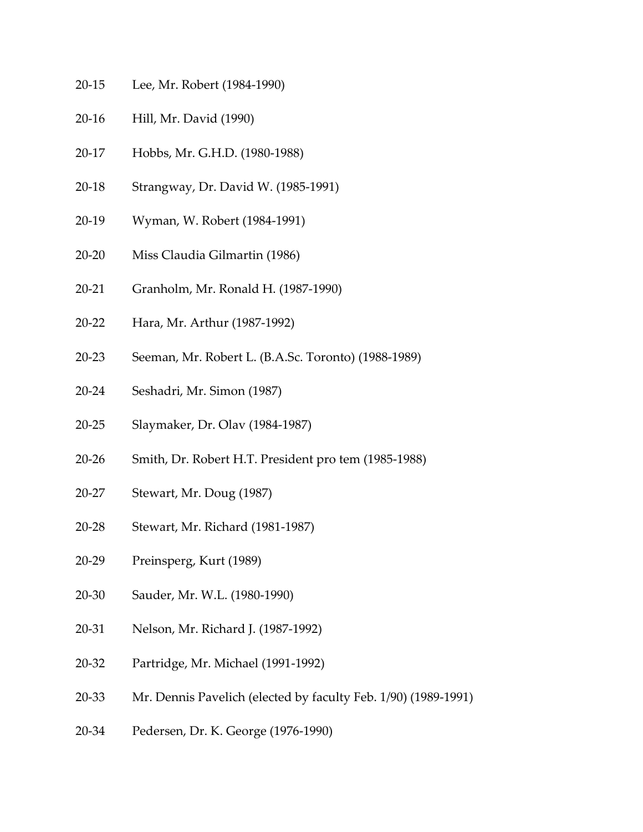- 20-15 Lee, Mr. Robert (1984-1990)
- 20-16 Hill, Mr. David (1990)
- 20-17 Hobbs, Mr. G.H.D. (1980-1988)
- 20-18 Strangway, Dr. David W. (1985-1991)
- 20-19 Wyman, W. Robert (1984-1991)
- 20-20 Miss Claudia Gilmartin (1986)
- 20-21 Granholm, Mr. Ronald H. (1987-1990)
- 20-22 Hara, Mr. Arthur (1987-1992)
- 20-23 Seeman, Mr. Robert L. (B.A.Sc. Toronto) (1988-1989)
- 20-24 Seshadri, Mr. Simon (1987)
- 20-25 Slaymaker, Dr. Olav (1984-1987)
- 20-26 Smith, Dr. Robert H.T. President pro tem (1985-1988)
- 20-27 Stewart, Mr. Doug (1987)
- 20-28 Stewart, Mr. Richard (1981-1987)
- 20-29 Preinsperg, Kurt (1989)
- 20-30 Sauder, Mr. W.L. (1980-1990)
- 20-31 Nelson, Mr. Richard J. (1987-1992)
- 20-32 Partridge, Mr. Michael (1991-1992)
- 20-33 Mr. Dennis Pavelich (elected by faculty Feb. 1/90) (1989-1991)
- 20-34 Pedersen, Dr. K. George (1976-1990)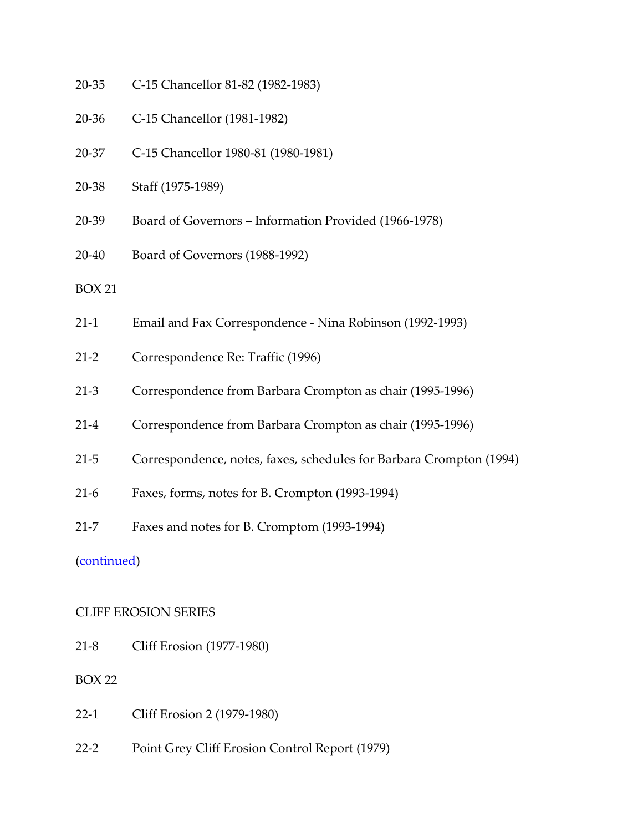- 20-35 C-15 Chancellor 81-82 (1982-1983)
- 20-36 C-15 Chancellor (1981-1982)
- 20-37 C-15 Chancellor 1980-81 (1980-1981)
- 20-38 Staff (1975-1989)
- 20-39 Board of Governors Information Provided (1966-1978)
- 20-40 Board of Governors (1988-1992)
- BOX 21
- 21-1 Email and Fax Correspondence Nina Robinson (1992-1993)
- 21-2 Correspondence Re: Traffic (1996)
- 21-3 Correspondence from Barbara Crompton as chair (1995-1996)
- 21-4 Correspondence from Barbara Crompton as chair (1995-1996)
- 21-5 Correspondence, notes, faxes, schedules for Barbara Crompton (1994)
- 21-6 Faxes, forms, notes for B. Crompton (1993-1994)
- 21-7 Faxes and notes for B. Cromptom (1993-1994)

[\(continued\)](#page-50-0)

#### <span id="page-16-0"></span>CLIFF EROSION SERIES

21-8 Cliff Erosion (1977-1980)

- 22-1 Cliff Erosion 2 (1979-1980)
- 22-2 Point Grey Cliff Erosion Control Report (1979)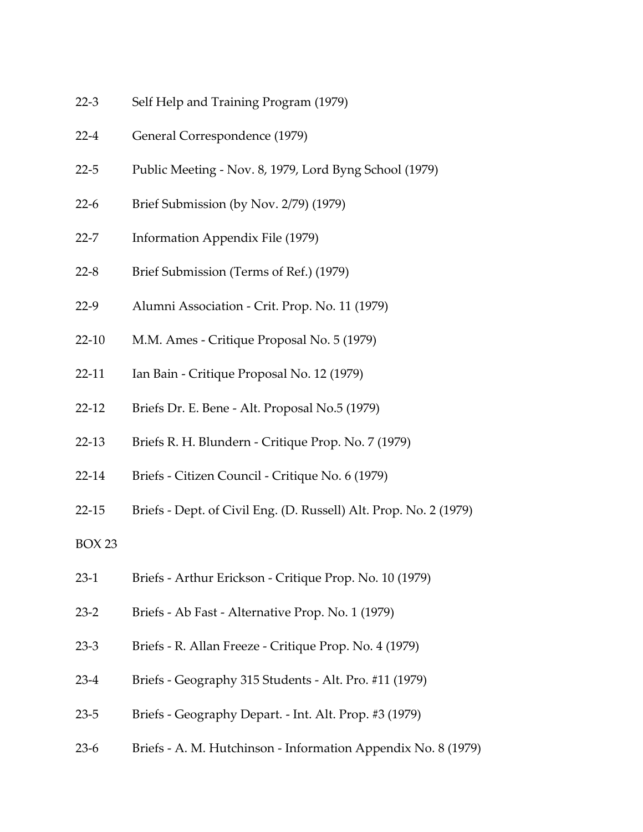- 22-3 Self Help and Training Program (1979)
- 22-4 General Correspondence (1979)
- 22-5 Public Meeting Nov. 8, 1979, Lord Byng School (1979)
- 22-6 Brief Submission (by Nov. 2/79) (1979)
- 22-7 Information Appendix File (1979)
- 22-8 Brief Submission (Terms of Ref.) (1979)
- 22-9 Alumni Association Crit. Prop. No. 11 (1979)
- 22-10 M.M. Ames Critique Proposal No. 5 (1979)
- 22-11 Ian Bain Critique Proposal No. 12 (1979)
- 22-12 Briefs Dr. E. Bene Alt. Proposal No.5 (1979)
- 22-13 Briefs R. H. Blundern Critique Prop. No. 7 (1979)
- 22-14 Briefs Citizen Council Critique No. 6 (1979)
- 22-15 Briefs Dept. of Civil Eng. (D. Russell) Alt. Prop. No. 2 (1979)
- BOX 23
- 23-1 Briefs Arthur Erickson Critique Prop. No. 10 (1979)
- 23-2 Briefs Ab Fast Alternative Prop. No. 1 (1979)
- 23-3 Briefs R. Allan Freeze Critique Prop. No. 4 (1979)
- 23-4 Briefs Geography 315 Students Alt. Pro. #11 (1979)
- 23-5 Briefs Geography Depart. Int. Alt. Prop. #3 (1979)
- 23-6 Briefs A. M. Hutchinson Information Appendix No. 8 (1979)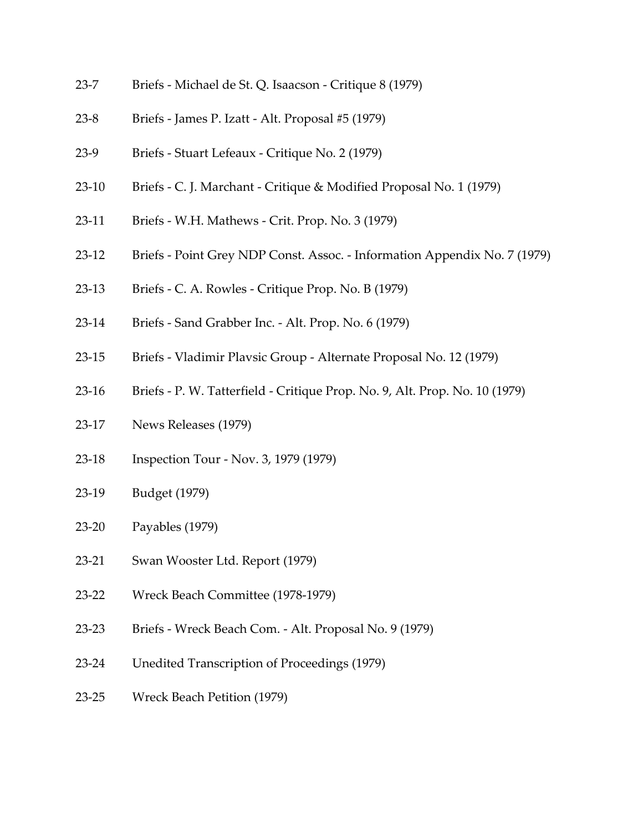- 23-7 Briefs Michael de St. Q. Isaacson Critique 8 (1979)
- 23-8 Briefs James P. Izatt Alt. Proposal #5 (1979)
- 23-9 Briefs Stuart Lefeaux Critique No. 2 (1979)
- 23-10 Briefs C. J. Marchant Critique & Modified Proposal No. 1 (1979)
- 23-11 Briefs W.H. Mathews Crit. Prop. No. 3 (1979)
- 23-12 Briefs Point Grey NDP Const. Assoc. Information Appendix No. 7 (1979)
- 23-13 Briefs C. A. Rowles Critique Prop. No. B (1979)
- 23-14 Briefs Sand Grabber Inc. Alt. Prop. No. 6 (1979)
- 23-15 Briefs Vladimir Plavsic Group Alternate Proposal No. 12 (1979)
- 23-16 Briefs P. W. Tatterfield Critique Prop. No. 9, Alt. Prop. No. 10 (1979)
- 23-17 News Releases (1979)
- 23-18 Inspection Tour Nov. 3, 1979 (1979)
- 23-19 Budget (1979)
- 23-20 Payables (1979)
- 23-21 Swan Wooster Ltd. Report (1979)
- 23-22 Wreck Beach Committee (1978-1979)
- 23-23 Briefs Wreck Beach Com. Alt. Proposal No. 9 (1979)
- 23-24 Unedited Transcription of Proceedings (1979)
- 23-25 Wreck Beach Petition (1979)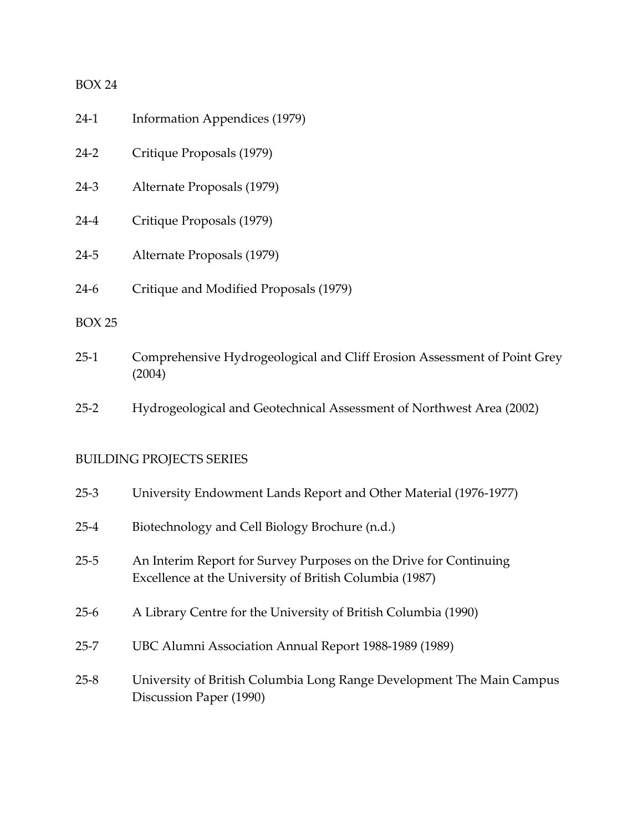- 24-1 Information Appendices (1979) 24-2 Critique Proposals (1979) 24-3 Alternate Proposals (1979) 24-4 Critique Proposals (1979)
- 24-5 Alternate Proposals (1979)
- 24-6 Critique and Modified Proposals (1979)

#### BOX 25

- 25-1 Comprehensive Hydrogeological and Cliff Erosion Assessment of Point Grey (2004)
- 25-2 Hydrogeological and Geotechnical Assessment of Northwest Area (2002)

### <span id="page-19-0"></span>BUILDING PROJECTS SERIES

| $25-3$   | University Endowment Lands Report and Other Material (1976-1977)                                                             |
|----------|------------------------------------------------------------------------------------------------------------------------------|
| $25 - 4$ | Biotechnology and Cell Biology Brochure (n.d.)                                                                               |
| $25 - 5$ | An Interim Report for Survey Purposes on the Drive for Continuing<br>Excellence at the University of British Columbia (1987) |
| $25-6$   | A Library Centre for the University of British Columbia (1990)                                                               |
| $25 - 7$ | UBC Alumni Association Annual Report 1988-1989 (1989)                                                                        |
| $25 - 8$ | University of British Columbia Long Range Development The Main Campus<br>Discussion Paper (1990)                             |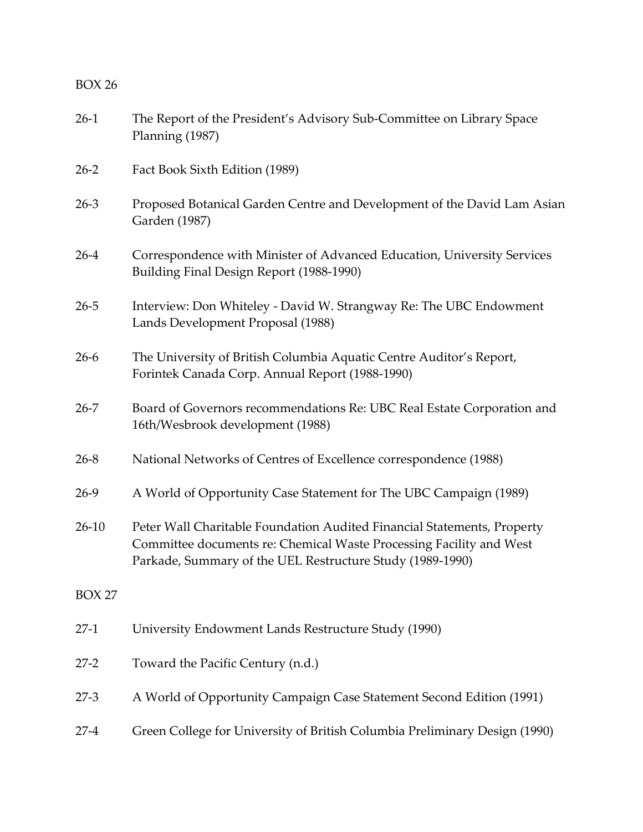| $26-1$        | The Report of the President's Advisory Sub-Committee on Library Space<br>Planning (1987)                                                                                                                    |
|---------------|-------------------------------------------------------------------------------------------------------------------------------------------------------------------------------------------------------------|
| $26 - 2$      | Fact Book Sixth Edition (1989)                                                                                                                                                                              |
| $26 - 3$      | Proposed Botanical Garden Centre and Development of the David Lam Asian<br>Garden (1987)                                                                                                                    |
| $26 - 4$      | Correspondence with Minister of Advanced Education, University Services<br>Building Final Design Report (1988-1990)                                                                                         |
| $26 - 5$      | Interview: Don Whiteley - David W. Strangway Re: The UBC Endowment<br>Lands Development Proposal (1988)                                                                                                     |
| $26-6$        | The University of British Columbia Aquatic Centre Auditor's Report,<br>Forintek Canada Corp. Annual Report (1988-1990)                                                                                      |
| $26 - 7$      | Board of Governors recommendations Re: UBC Real Estate Corporation and<br>16th/Wesbrook development (1988)                                                                                                  |
| $26 - 8$      | National Networks of Centres of Excellence correspondence (1988)                                                                                                                                            |
| $26-9$        | A World of Opportunity Case Statement for The UBC Campaign (1989)                                                                                                                                           |
| $26-10$       | Peter Wall Charitable Foundation Audited Financial Statements, Property<br>Committee documents re: Chemical Waste Processing Facility and West<br>Parkade, Summary of the UEL Restructure Study (1989-1990) |
| <b>BOX 27</b> |                                                                                                                                                                                                             |
| $27-1$        | University Endowment Lands Restructure Study (1990)                                                                                                                                                         |
| $27 - 2$      | Toward the Pacific Century (n.d.)                                                                                                                                                                           |
| $27 - 3$      | A World of Opportunity Campaign Case Statement Second Edition (1991)                                                                                                                                        |
| $27-4$        | Green College for University of British Columbia Preliminary Design (1990)                                                                                                                                  |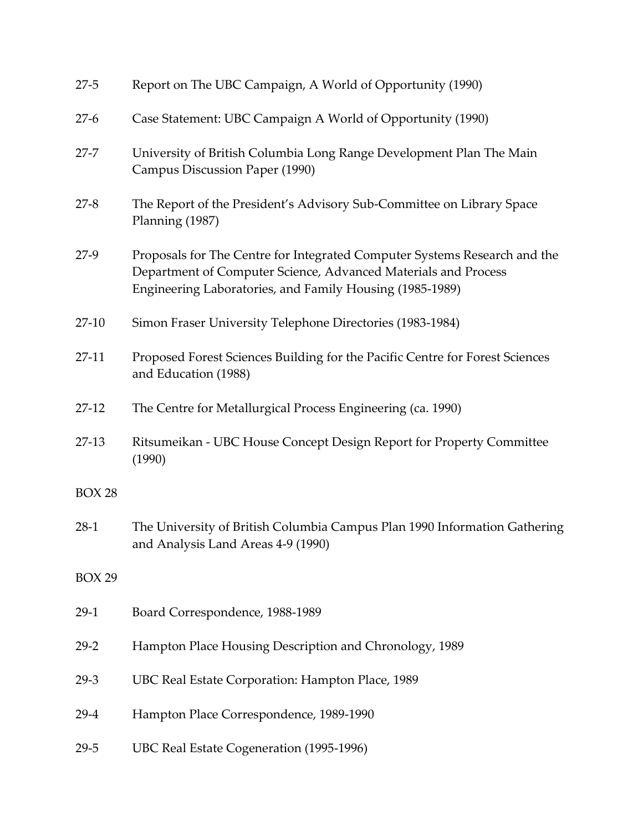| $27 - 5$      | Report on The UBC Campaign, A World of Opportunity (1990)                                                                                                                                               |
|---------------|---------------------------------------------------------------------------------------------------------------------------------------------------------------------------------------------------------|
| $27-6$        | Case Statement: UBC Campaign A World of Opportunity (1990)                                                                                                                                              |
| $27 - 7$      | University of British Columbia Long Range Development Plan The Main<br>Campus Discussion Paper (1990)                                                                                                   |
| $27 - 8$      | The Report of the President's Advisory Sub-Committee on Library Space<br>Planning (1987)                                                                                                                |
| $27-9$        | Proposals for The Centre for Integrated Computer Systems Research and the<br>Department of Computer Science, Advanced Materials and Process<br>Engineering Laboratories, and Family Housing (1985-1989) |
| $27-10$       | Simon Fraser University Telephone Directories (1983-1984)                                                                                                                                               |
| $27-11$       | Proposed Forest Sciences Building for the Pacific Centre for Forest Sciences<br>and Education (1988)                                                                                                    |
| $27-12$       | The Centre for Metallurgical Process Engineering (ca. 1990)                                                                                                                                             |
| $27-13$       | Ritsumeikan - UBC House Concept Design Report for Property Committee<br>(1990)                                                                                                                          |
| <b>BOX 28</b> |                                                                                                                                                                                                         |
| $28-1$        | The University of British Columbia Campus Plan 1990 Information Gathering<br>and Analysis Land Areas 4-9 (1990)                                                                                         |
| <b>BOX 29</b> |                                                                                                                                                                                                         |
| $29-1$        | Board Correspondence, 1988-1989                                                                                                                                                                         |
| $29 - 2$      | Hampton Place Housing Description and Chronology, 1989                                                                                                                                                  |
| $29-3$        | UBC Real Estate Corporation: Hampton Place, 1989                                                                                                                                                        |
| $29-4$        | Hampton Place Correspondence, 1989-1990                                                                                                                                                                 |
| $29 - 5$      | UBC Real Estate Cogeneration (1995-1996)                                                                                                                                                                |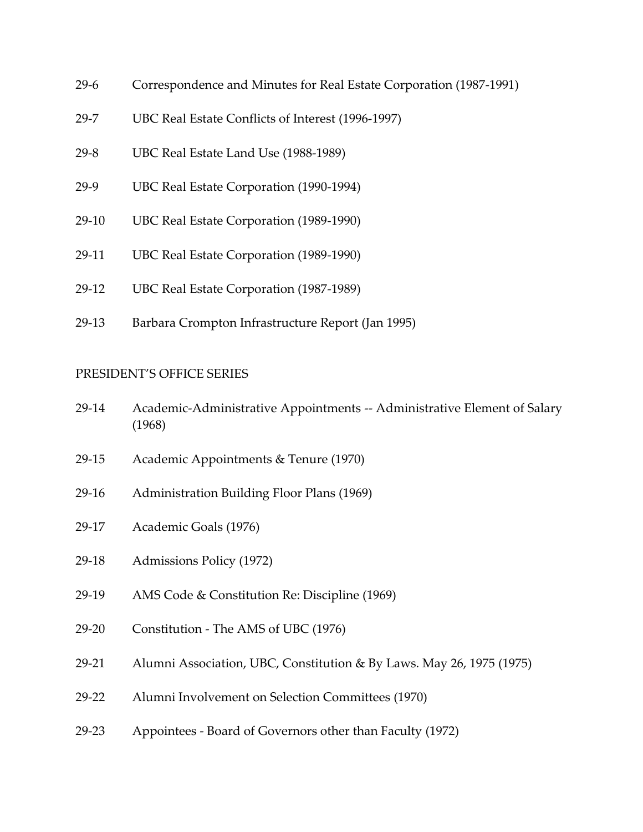- 29-6 Correspondence and Minutes for Real Estate Corporation (1987-1991)
- 29-7 UBC Real Estate Conflicts of Interest (1996-1997)
- 29-8 UBC Real Estate Land Use (1988-1989)
- 29-9 UBC Real Estate Corporation (1990-1994)
- 29-10 UBC Real Estate Corporation (1989-1990)
- 29-11 UBC Real Estate Corporation (1989-1990)
- 29-12 UBC Real Estate Corporation (1987-1989)
- 29-13 Barbara Crompton Infrastructure Report (Jan 1995)

#### <span id="page-22-0"></span>PRESIDENT'S OFFICE SERIES

- 29-14 Academic-Administrative Appointments -- Administrative Element of Salary (1968)
- 29-15 Academic Appointments & Tenure (1970)
- 29-16 Administration Building Floor Plans (1969)
- 29-17 Academic Goals (1976)
- 29-18 Admissions Policy (1972)
- 29-19 AMS Code & Constitution Re: Discipline (1969)
- 29-20 Constitution The AMS of UBC (1976)
- 29-21 Alumni Association, UBC, Constitution & By Laws. May 26, 1975 (1975)
- 29-22 Alumni Involvement on Selection Committees (1970)
- 29-23 Appointees Board of Governors other than Faculty (1972)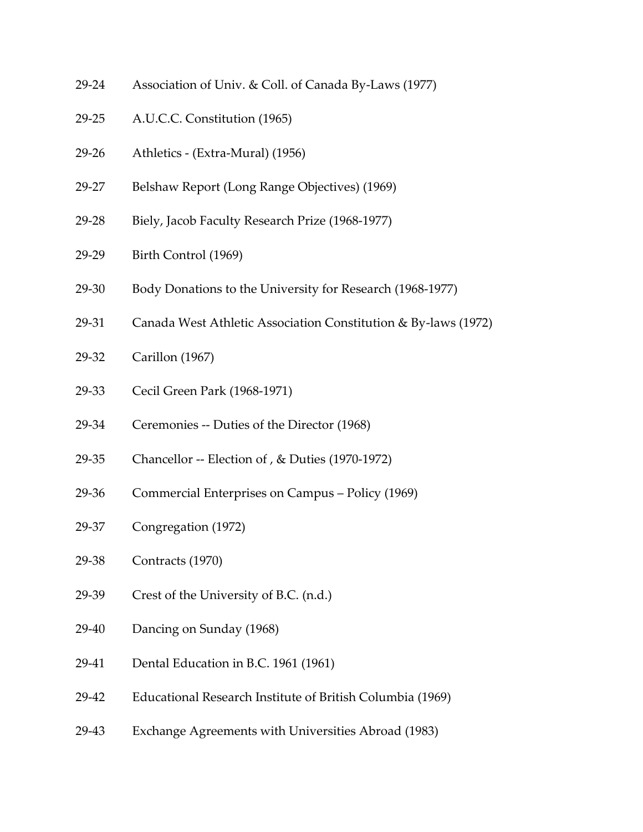- 29-24 Association of Univ. & Coll. of Canada By-Laws (1977)
- 29-25 A.U.C.C. Constitution (1965)
- 29-26 Athletics (Extra-Mural) (1956)
- 29-27 Belshaw Report (Long Range Objectives) (1969)
- 29-28 Biely, Jacob Faculty Research Prize (1968-1977)
- 29-29 Birth Control (1969)
- 29-30 Body Donations to the University for Research (1968-1977)
- 29-31 Canada West Athletic Association Constitution & By-laws (1972)
- 29-32 Carillon (1967)
- 29-33 Cecil Green Park (1968-1971)
- 29-34 Ceremonies -- Duties of the Director (1968)
- 29-35 Chancellor -- Election of , & Duties (1970-1972)
- 29-36 Commercial Enterprises on Campus Policy (1969)
- 29-37 Congregation (1972)
- 29-38 Contracts (1970)
- 29-39 Crest of the University of B.C. (n.d.)
- 29-40 Dancing on Sunday (1968)
- 29-41 Dental Education in B.C. 1961 (1961)
- 29-42 Educational Research Institute of British Columbia (1969)
- 29-43 Exchange Agreements with Universities Abroad (1983)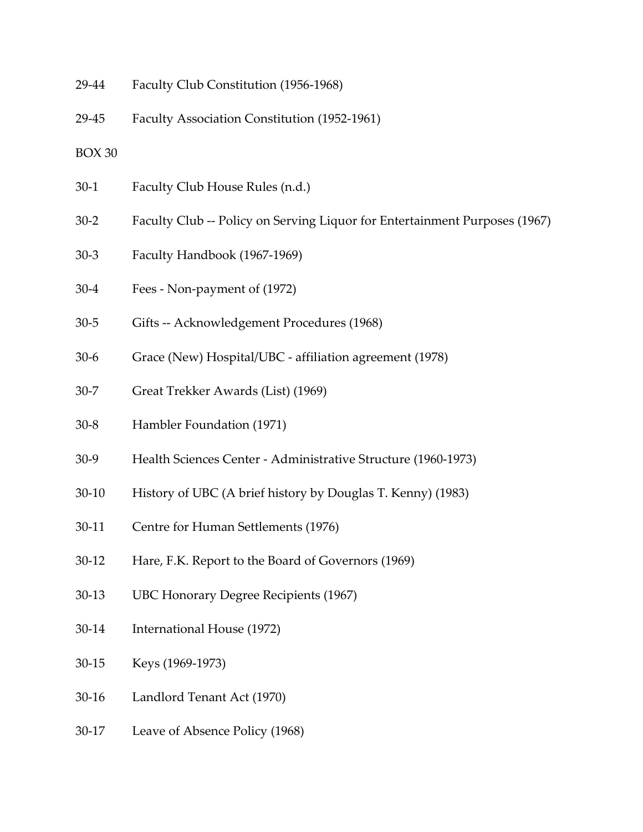- 29-44 Faculty Club Constitution (1956-1968)
- 29-45 Faculty Association Constitution (1952-1961)
- BOX 30
- 30-1 Faculty Club House Rules (n.d.)
- 30-2 Faculty Club -- Policy on Serving Liquor for Entertainment Purposes (1967)
- 30-3 Faculty Handbook (1967-1969)
- 30-4 Fees Non-payment of (1972)
- 30-5 Gifts -- Acknowledgement Procedures (1968)
- 30-6 Grace (New) Hospital/UBC affiliation agreement (1978)
- 30-7 Great Trekker Awards (List) (1969)
- 30-8 Hambler Foundation (1971)
- 30-9 Health Sciences Center Administrative Structure (1960-1973)
- 30-10 History of UBC (A brief history by Douglas T. Kenny) (1983)
- 30-11 Centre for Human Settlements (1976)
- 30-12 Hare, F.K. Report to the Board of Governors (1969)
- 30-13 UBC Honorary Degree Recipients (1967)
- 30-14 International House (1972)
- 30-15 Keys (1969-1973)
- 30-16 Landlord Tenant Act (1970)
- 30-17 Leave of Absence Policy (1968)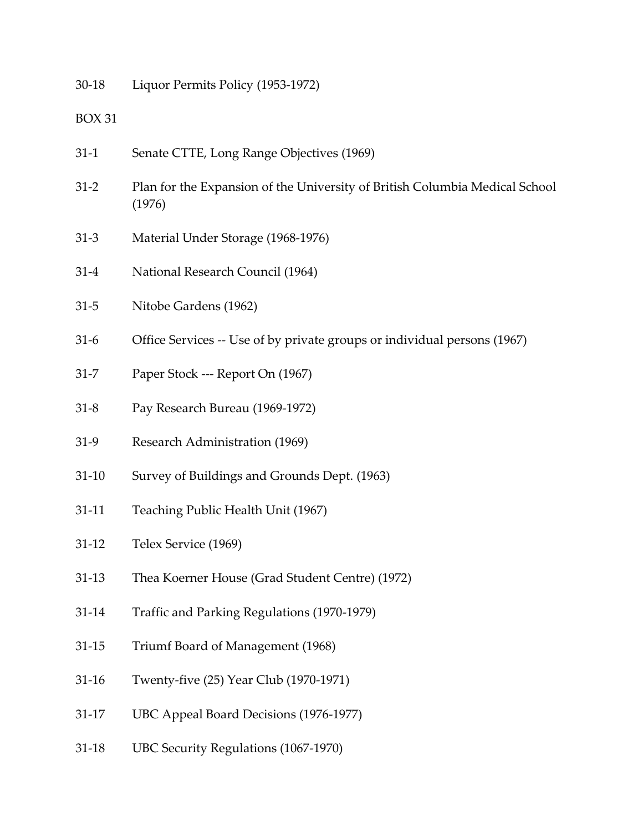30-18 Liquor Permits Policy (1953-1972)

- 31-1 Senate CTTE, Long Range Objectives (1969)
- 31-2 Plan for the Expansion of the University of British Columbia Medical School (1976)
- 31-3 Material Under Storage (1968-1976)
- 31-4 National Research Council (1964)
- 31-5 Nitobe Gardens (1962)
- 31-6 Office Services -- Use of by private groups or individual persons (1967)
- 31-7 Paper Stock --- Report On (1967)
- 31-8 Pay Research Bureau (1969-1972)
- 31-9 Research Administration (1969)
- 31-10 Survey of Buildings and Grounds Dept. (1963)
- 31-11 Teaching Public Health Unit (1967)
- 31-12 Telex Service (1969)
- 31-13 Thea Koerner House (Grad Student Centre) (1972)
- 31-14 Traffic and Parking Regulations (1970-1979)
- 31-15 Triumf Board of Management (1968)
- 31-16 Twenty-five (25) Year Club (1970-1971)
- 31-17 UBC Appeal Board Decisions (1976-1977)
- 31-18 UBC Security Regulations (1067-1970)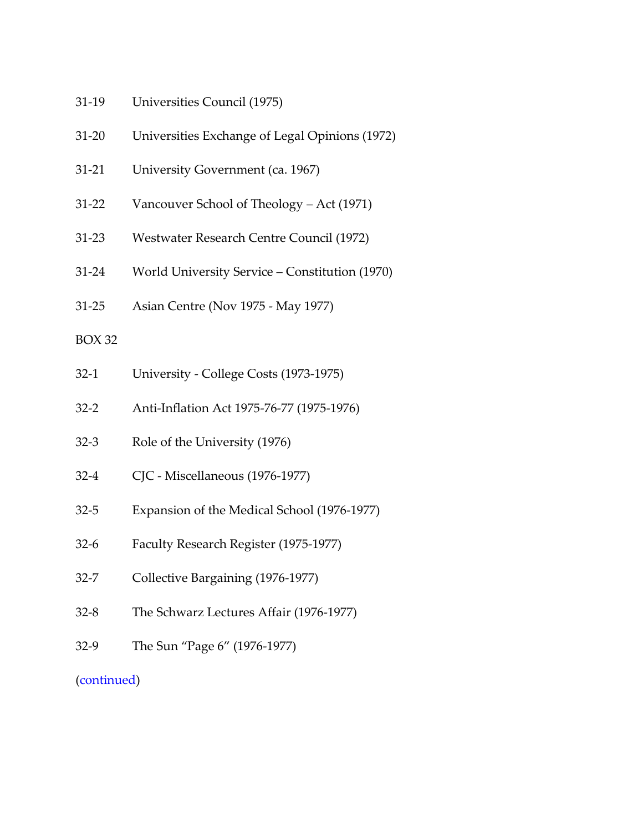- 31-19 Universities Council (1975)
- 31-20 Universities Exchange of Legal Opinions (1972)
- 31-21 University Government (ca. 1967)
- 31-22 Vancouver School of Theology Act (1971)
- 31-23 Westwater Research Centre Council (1972)
- 31-24 World University Service Constitution (1970)
- 31-25 Asian Centre (Nov 1975 May 1977)

- 32-1 University College Costs (1973-1975)
- 32-2 Anti-Inflation Act 1975-76-77 (1975-1976)
- 32-3 Role of the University (1976)
- 32-4 CJC Miscellaneous (1976-1977)
- 32-5 Expansion of the Medical School (1976-1977)
- 32-6 Faculty Research Register (1975-1977)
- 32-7 Collective Bargaining (1976-1977)
- 32-8 The Schwarz Lectures Affair (1976-1977)
- 32-9 The Sun "Page 6" (1976-1977)

# [\(continued\)](#page-50-1)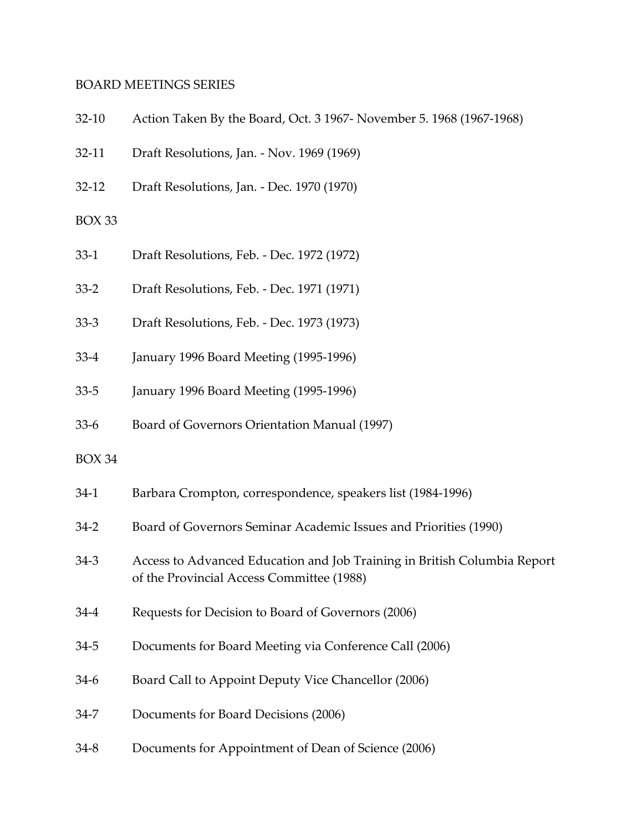#### <span id="page-27-0"></span>BOARD MEETINGS SERIES

| $32-10$       | Action Taken By the Board, Oct. 3 1967- November 5. 1968 (1967-1968)                                                  |
|---------------|-----------------------------------------------------------------------------------------------------------------------|
| $32-11$       | Draft Resolutions, Jan. - Nov. 1969 (1969)                                                                            |
| $32 - 12$     | Draft Resolutions, Jan. - Dec. 1970 (1970)                                                                            |
| BOX 33        |                                                                                                                       |
| $33-1$        | Draft Resolutions, Feb. - Dec. 1972 (1972)                                                                            |
| $33 - 2$      | Draft Resolutions, Feb. - Dec. 1971 (1971)                                                                            |
| $33-3$        | Draft Resolutions, Feb. - Dec. 1973 (1973)                                                                            |
| $33-4$        | January 1996 Board Meeting (1995-1996)                                                                                |
| $33 - 5$      | January 1996 Board Meeting (1995-1996)                                                                                |
| $33-6$        | Board of Governors Orientation Manual (1997)                                                                          |
| <b>BOX 34</b> |                                                                                                                       |
| $34-1$        | Barbara Crompton, correspondence, speakers list (1984-1996)                                                           |
| $34-2$        | Board of Governors Seminar Academic Issues and Priorities (1990)                                                      |
| $34-3$        | Access to Advanced Education and Job Training in British Columbia Report<br>of the Provincial Access Committee (1988) |
| $34-4$        | Requests for Decision to Board of Governors (2006)                                                                    |
| $34 - 5$      | Documents for Board Meeting via Conference Call (2006)                                                                |
| $34-6$        | Board Call to Appoint Deputy Vice Chancellor (2006)                                                                   |
| $34 - 7$      | Documents for Board Decisions (2006)                                                                                  |
| $34 - 8$      | Documents for Appointment of Dean of Science (2006)                                                                   |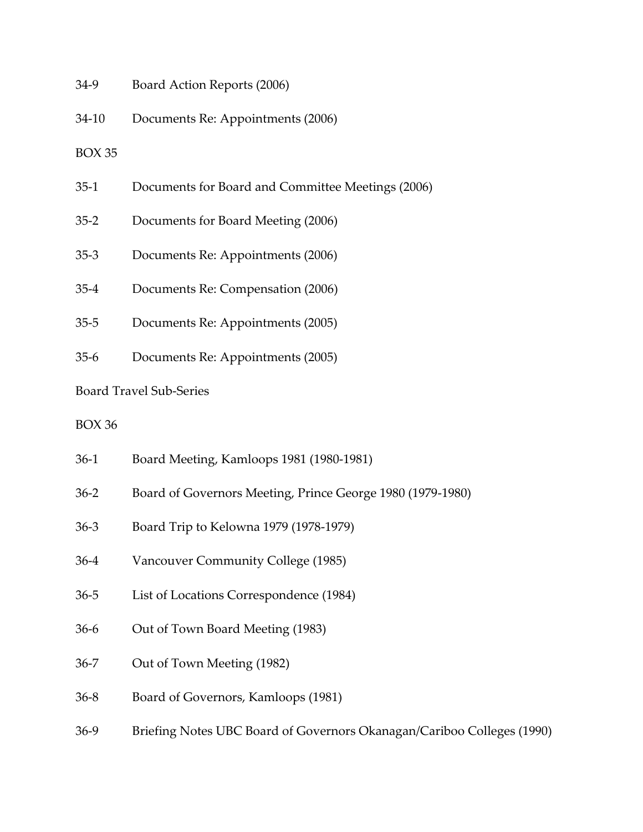- 34-9 Board Action Reports (2006)
- 34-10 Documents Re: Appointments (2006)

- 35-1 Documents for Board and Committee Meetings (2006)
- 35-2 Documents for Board Meeting (2006)
- 35-3 Documents Re: Appointments (2006)
- 35-4 Documents Re: Compensation (2006)
- 35-5 Documents Re: Appointments (2005)
- 35-6 Documents Re: Appointments (2005)

#### Board Travel Sub-Series

- 36-1 Board Meeting, Kamloops 1981 (1980-1981)
- 36-2 Board of Governors Meeting, Prince George 1980 (1979-1980)
- 36-3 Board Trip to Kelowna 1979 (1978-1979)
- 36-4 Vancouver Community College (1985)
- 36-5 List of Locations Correspondence (1984)
- 36-6 Out of Town Board Meeting (1983)
- 36-7 Out of Town Meeting (1982)
- 36-8 Board of Governors, Kamloops (1981)
- 36-9 Briefing Notes UBC Board of Governors Okanagan/Cariboo Colleges (1990)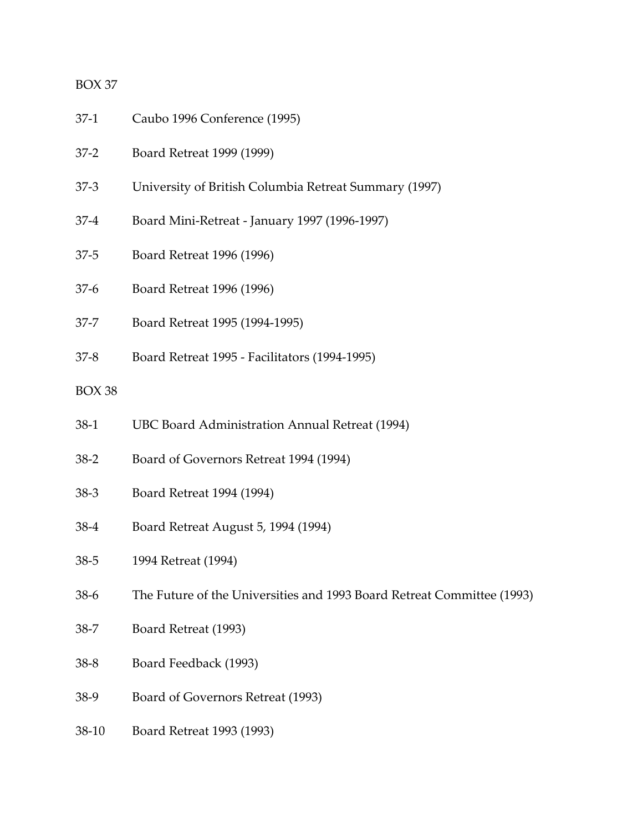- 37-1 Caubo 1996 Conference (1995)
- 37-2 Board Retreat 1999 (1999)
- 37-3 University of British Columbia Retreat Summary (1997)
- 37-4 Board Mini-Retreat January 1997 (1996-1997)
- 37-5 Board Retreat 1996 (1996)
- 37-6 Board Retreat 1996 (1996)
- 37-7 Board Retreat 1995 (1994-1995)
- 37-8 Board Retreat 1995 Facilitators (1994-1995)

- 38-1 UBC Board Administration Annual Retreat (1994)
- 38-2 Board of Governors Retreat 1994 (1994)
- 38-3 Board Retreat 1994 (1994)
- 38-4 Board Retreat August 5, 1994 (1994)
- 38-5 1994 Retreat (1994)
- 38-6 The Future of the Universities and 1993 Board Retreat Committee (1993)
- 38-7 Board Retreat (1993)
- 38-8 Board Feedback (1993)
- 38-9 Board of Governors Retreat (1993)
- 38-10 Board Retreat 1993 (1993)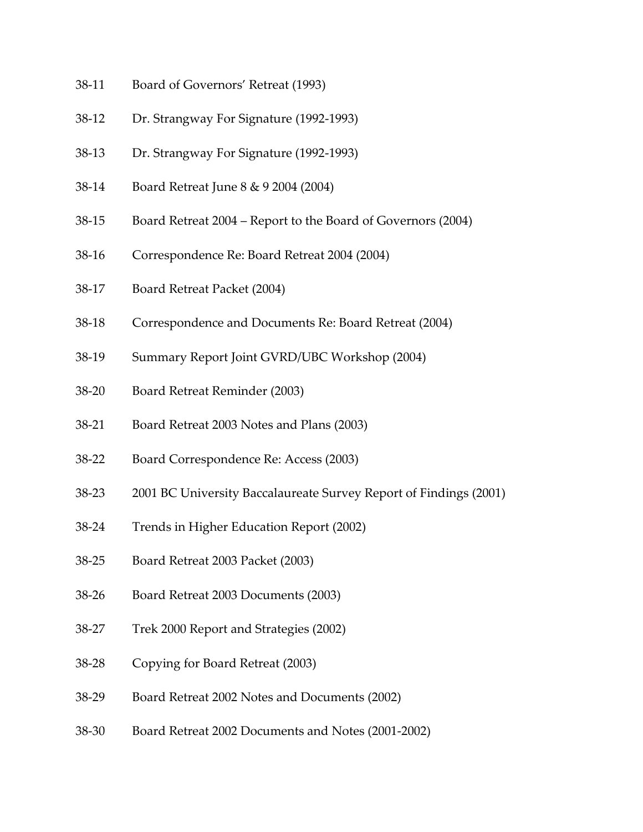- 38-11 Board of Governors' Retreat (1993)
- 38-12 Dr. Strangway For Signature (1992-1993)
- 38-13 Dr. Strangway For Signature (1992-1993)
- 38-14 Board Retreat June 8 & 9 2004 (2004)
- 38-15 Board Retreat 2004 Report to the Board of Governors (2004)
- 38-16 Correspondence Re: Board Retreat 2004 (2004)
- 38-17 Board Retreat Packet (2004)
- 38-18 Correspondence and Documents Re: Board Retreat (2004)
- 38-19 Summary Report Joint GVRD/UBC Workshop (2004)
- 38-20 Board Retreat Reminder (2003)
- 38-21 Board Retreat 2003 Notes and Plans (2003)
- 38-22 Board Correspondence Re: Access (2003)
- 38-23 2001 BC University Baccalaureate Survey Report of Findings (2001)
- 38-24 Trends in Higher Education Report (2002)
- 38-25 Board Retreat 2003 Packet (2003)
- 38-26 Board Retreat 2003 Documents (2003)
- 38-27 Trek 2000 Report and Strategies (2002)
- 38-28 Copying for Board Retreat (2003)
- 38-29 Board Retreat 2002 Notes and Documents (2002)
- 38-30 Board Retreat 2002 Documents and Notes (2001-2002)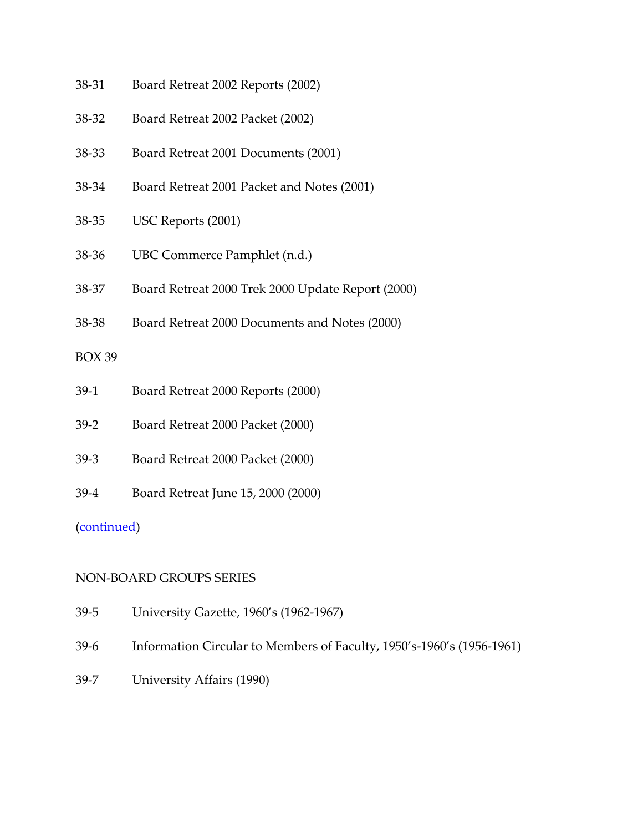- 38-31 Board Retreat 2002 Reports (2002)
- 38-32 Board Retreat 2002 Packet (2002)
- 38-33 Board Retreat 2001 Documents (2001)
- 38-34 Board Retreat 2001 Packet and Notes (2001)
- 38-35 USC Reports (2001)
- 38-36 UBC Commerce Pamphlet (n.d.)
- 38-37 Board Retreat 2000 Trek 2000 Update Report (2000)
- 38-38 Board Retreat 2000 Documents and Notes (2000)

- 39-1 Board Retreat 2000 Reports (2000)
- 39-2 Board Retreat 2000 Packet (2000)
- 39-3 Board Retreat 2000 Packet (2000)
- 39-4 Board Retreat June 15, 2000 (2000)

#### [\(continued\)](#page-50-2)

#### <span id="page-31-0"></span>NON-BOARD GROUPS SERIES

- 39-5 University Gazette, 1960's (1962-1967)
- 39-6 Information Circular to Members of Faculty, 1950's-1960's (1956-1961)
- 39-7 University Affairs (1990)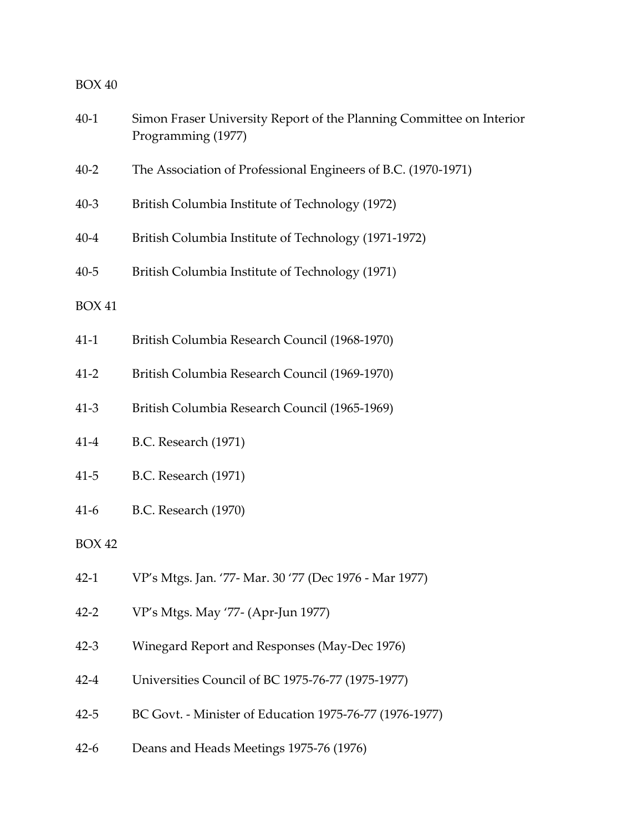| $40-1$        | Simon Fraser University Report of the Planning Committee on Interior<br>Programming (1977) |
|---------------|--------------------------------------------------------------------------------------------|
| $40 - 2$      | The Association of Professional Engineers of B.C. (1970-1971)                              |
| $40 - 3$      | British Columbia Institute of Technology (1972)                                            |
| $40 - 4$      | British Columbia Institute of Technology (1971-1972)                                       |
| $40 - 5$      | British Columbia Institute of Technology (1971)                                            |
| <b>BOX 41</b> |                                                                                            |
| $41-1$        | British Columbia Research Council (1968-1970)                                              |
| $41 - 2$      | British Columbia Research Council (1969-1970)                                              |
| $41 - 3$      | British Columbia Research Council (1965-1969)                                              |
| $41 - 4$      | <b>B.C.</b> Research (1971)                                                                |
| $41 - 5$      | <b>B.C.</b> Research (1971)                                                                |
| $41-6$        | <b>B.C.</b> Research (1970)                                                                |
| <b>BOX 42</b> |                                                                                            |
| $42-1$        | VP's Mtgs. Jan. '77- Mar. 30 '77 (Dec 1976 - Mar 1977)                                     |
| $42 - 2$      | VP's Mtgs. May '77- (Apr-Jun 1977)                                                         |
| $42 - 3$      | Winegard Report and Responses (May-Dec 1976)                                               |
| $42 - 4$      | Universities Council of BC 1975-76-77 (1975-1977)                                          |
| $42 - 5$      | BC Govt. - Minister of Education 1975-76-77 (1976-1977)                                    |
| $42-6$        | Deans and Heads Meetings 1975-76 (1976)                                                    |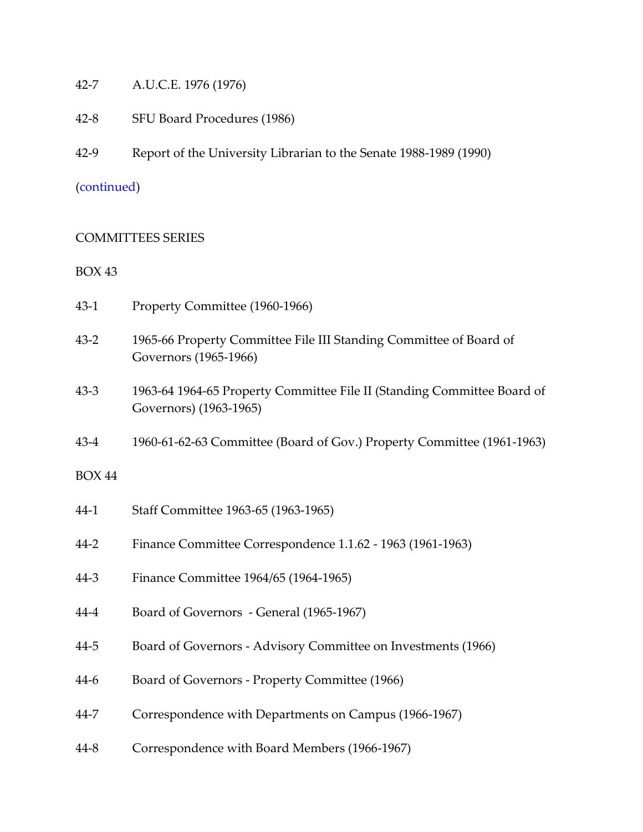- 42-7 A.U.C.E. 1976 (1976)
- 42-8 SFU Board Procedures (1986)
- 42-9 Report of the University Librarian to the Senate 1988-1989 (1990)

### [\(continued\)](#page-50-3)

#### <span id="page-33-0"></span>COMMITTEES SERIES

#### BOX 43

- 43-1 Property Committee (1960-1966)
- 43-2 1965-66 Property Committee File III Standing Committee of Board of Governors (1965-1966)
- 43-3 1963-64 1964-65 Property Committee File II (Standing Committee Board of Governors) (1963-1965)
- 43-4 1960-61-62-63 Committee (Board of Gov.) Property Committee (1961-1963)

- 44-1 Staff Committee 1963-65 (1963-1965)
- 44-2 Finance Committee Correspondence 1.1.62 1963 (1961-1963)
- 44-3 Finance Committee 1964/65 (1964-1965)
- 44-4 Board of Governors General (1965-1967)
- 44-5 Board of Governors Advisory Committee on Investments (1966)
- 44-6 Board of Governors Property Committee (1966)
- 44-7 Correspondence with Departments on Campus (1966-1967)
- 44-8 Correspondence with Board Members (1966-1967)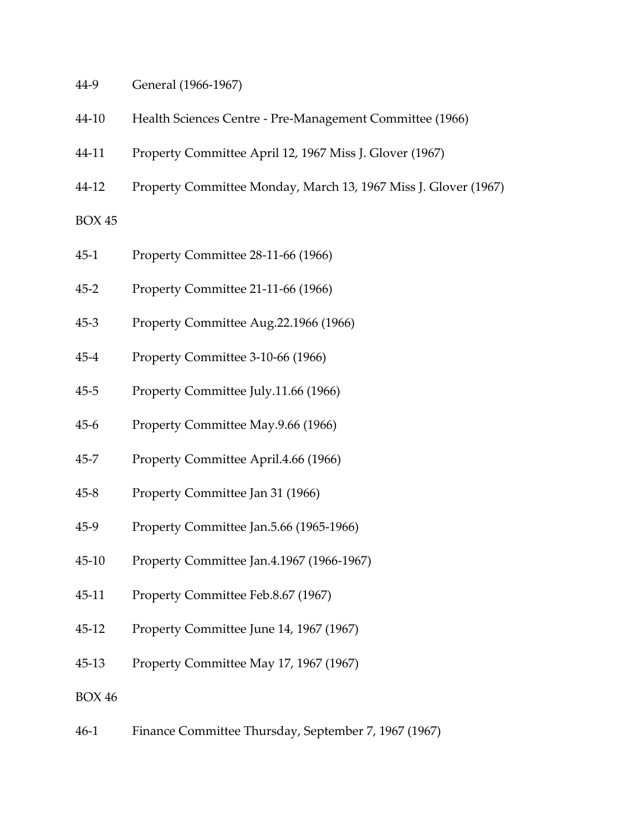- 44-9 General (1966-1967)
- 44-10 Health Sciences Centre Pre-Management Committee (1966)
- 44-11 Property Committee April 12, 1967 Miss J. Glover (1967)
- 44-12 Property Committee Monday, March 13, 1967 Miss J. Glover (1967)

- 45-1 Property Committee 28-11-66 (1966)
- 45-2 Property Committee 21-11-66 (1966)
- 45-3 Property Committee Aug.22.1966 (1966)
- 45-4 Property Committee 3-10-66 (1966)
- 45-5 Property Committee July.11.66 (1966)
- 45-6 Property Committee May.9.66 (1966)
- 45-7 Property Committee April.4.66 (1966)
- 45-8 Property Committee Jan 31 (1966)
- 45-9 Property Committee Jan.5.66 (1965-1966)
- 45-10 Property Committee Jan.4.1967 (1966-1967)
- 45-11 Property Committee Feb.8.67 (1967)
- 45-12 Property Committee June 14, 1967 (1967)
- 45-13 Property Committee May 17, 1967 (1967)

BOX 46

46-1 Finance Committee Thursday, September 7, 1967 (1967)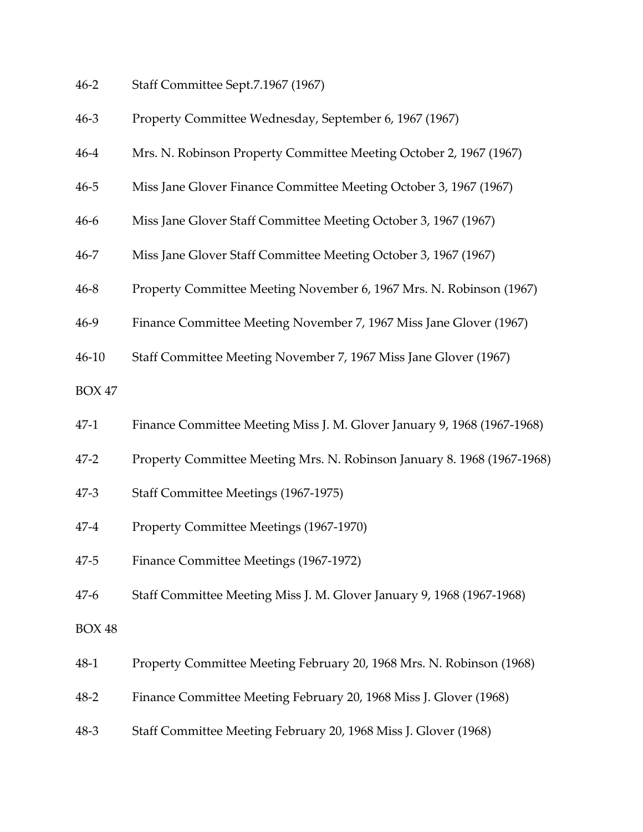| 46-2 | Staff Committee Sept.7.1967 (1967) |  |
|------|------------------------------------|--|
|------|------------------------------------|--|

| $46 - 3$      | Property Committee Wednesday, September 6, 1967 (1967)                  |
|---------------|-------------------------------------------------------------------------|
| $46 - 4$      | Mrs. N. Robinson Property Committee Meeting October 2, 1967 (1967)      |
| $46 - 5$      | Miss Jane Glover Finance Committee Meeting October 3, 1967 (1967)       |
| $46-6$        | Miss Jane Glover Staff Committee Meeting October 3, 1967 (1967)         |
| $46 - 7$      | Miss Jane Glover Staff Committee Meeting October 3, 1967 (1967)         |
| $46 - 8$      | Property Committee Meeting November 6, 1967 Mrs. N. Robinson (1967)     |
| $46-9$        | Finance Committee Meeting November 7, 1967 Miss Jane Glover (1967)      |
| $46 - 10$     | Staff Committee Meeting November 7, 1967 Miss Jane Glover (1967)        |
| <b>BOX 47</b> |                                                                         |
| $47-1$        | Finance Committee Meeting Miss J. M. Glover January 9, 1968 (1967-1968) |
| $47 - 2$      | Property Committee Meeting Mrs. N. Robinson January 8. 1968 (1967-1968) |
| $47 - 3$      | Staff Committee Meetings (1967-1975)                                    |
| $47 - 4$      | Property Committee Meetings (1967-1970)                                 |
| $47 - 5$      | Finance Committee Meetings (1967-1972)                                  |
| $47-6$        | Staff Committee Meeting Miss J. M. Glover January 9, 1968 (1967-1968)   |
| <b>BOX 48</b> |                                                                         |
| 48-1          | Property Committee Meeting February 20, 1968 Mrs. N. Robinson (1968)    |
| $48 - 2$      | Finance Committee Meeting February 20, 1968 Miss J. Glover (1968)       |
| $48-3$        | Staff Committee Meeting February 20, 1968 Miss J. Glover (1968)         |
|               |                                                                         |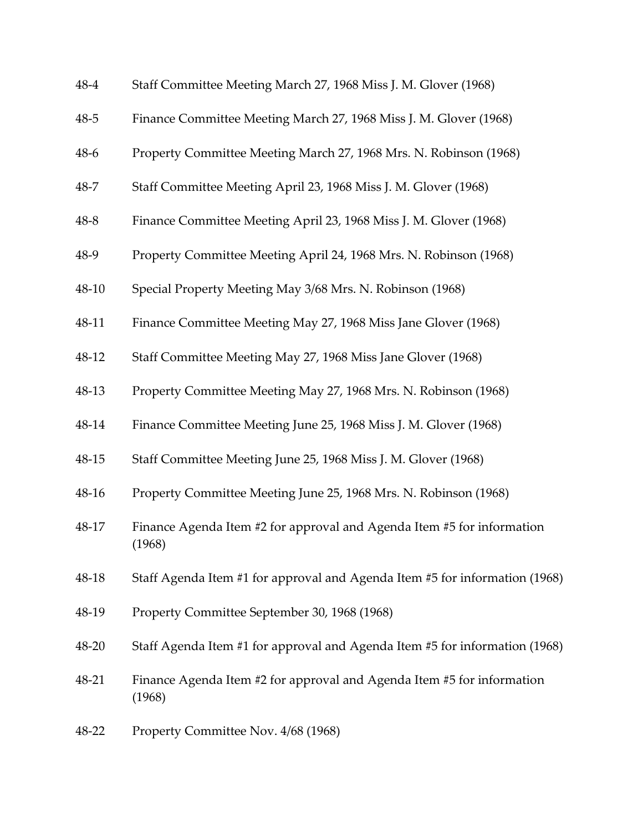| 48-4     | Staff Committee Meeting March 27, 1968 Miss J. M. Glover (1968)                  |
|----------|----------------------------------------------------------------------------------|
| $48 - 5$ | Finance Committee Meeting March 27, 1968 Miss J. M. Glover (1968)                |
| 48-6     | Property Committee Meeting March 27, 1968 Mrs. N. Robinson (1968)                |
| 48-7     | Staff Committee Meeting April 23, 1968 Miss J. M. Glover (1968)                  |
| $48 - 8$ | Finance Committee Meeting April 23, 1968 Miss J. M. Glover (1968)                |
| 48-9     | Property Committee Meeting April 24, 1968 Mrs. N. Robinson (1968)                |
| 48-10    | Special Property Meeting May 3/68 Mrs. N. Robinson (1968)                        |
| 48-11    | Finance Committee Meeting May 27, 1968 Miss Jane Glover (1968)                   |
| 48-12    | Staff Committee Meeting May 27, 1968 Miss Jane Glover (1968)                     |
| 48-13    | Property Committee Meeting May 27, 1968 Mrs. N. Robinson (1968)                  |
| 48-14    | Finance Committee Meeting June 25, 1968 Miss J. M. Glover (1968)                 |
| 48-15    | Staff Committee Meeting June 25, 1968 Miss J. M. Glover (1968)                   |
| 48-16    | Property Committee Meeting June 25, 1968 Mrs. N. Robinson (1968)                 |
| 48-17    | Finance Agenda Item #2 for approval and Agenda Item #5 for information<br>(1968) |
| 48-18    | Staff Agenda Item #1 for approval and Agenda Item #5 for information (1968)      |
| 48-19    | Property Committee September 30, 1968 (1968)                                     |
| 48-20    | Staff Agenda Item #1 for approval and Agenda Item #5 for information (1968)      |
| 48-21    | Finance Agenda Item #2 for approval and Agenda Item #5 for information<br>(1968) |
| 48-22    | Property Committee Nov. 4/68 (1968)                                              |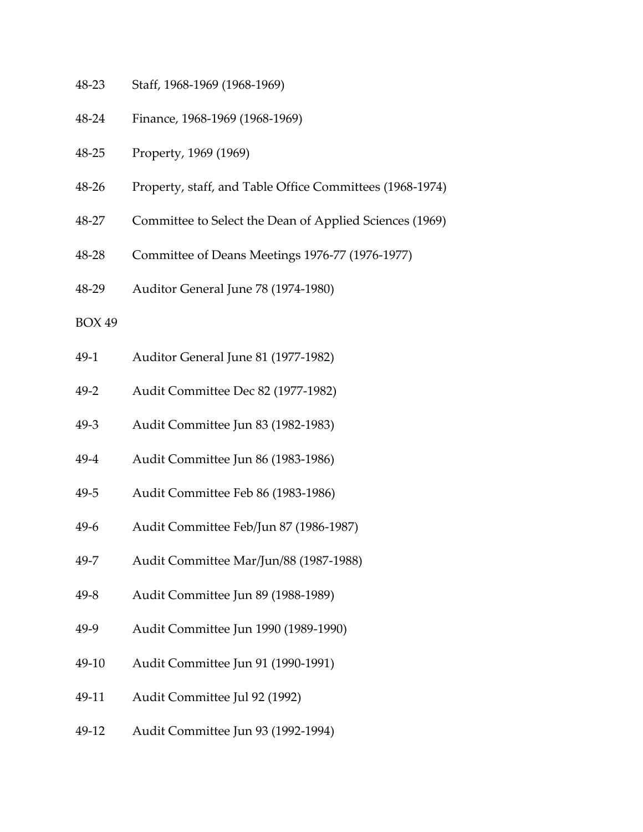- 48-23 Staff, 1968-1969 (1968-1969)
- 48-24 Finance, 1968-1969 (1968-1969)
- 48-25 Property, 1969 (1969)
- 48-26 Property, staff, and Table Office Committees (1968-1974)
- 48-27 Committee to Select the Dean of Applied Sciences (1969)
- 48-28 Committee of Deans Meetings 1976-77 (1976-1977)
- 48-29 Auditor General June 78 (1974-1980)
- BOX 49
- 49-1 Auditor General June 81 (1977-1982)
- 49-2 Audit Committee Dec 82 (1977-1982)
- 49-3 Audit Committee Jun 83 (1982-1983)
- 49-4 Audit Committee Jun 86 (1983-1986)
- 49-5 Audit Committee Feb 86 (1983-1986)
- 49-6 Audit Committee Feb/Jun 87 (1986-1987)
- 49-7 Audit Committee Mar/Jun/88 (1987-1988)
- 49-8 Audit Committee Jun 89 (1988-1989)
- 49-9 Audit Committee Jun 1990 (1989-1990)
- 49-10 Audit Committee Jun 91 (1990-1991)
- 49-11 Audit Committee Jul 92 (1992)
- 49-12 Audit Committee Jun 93 (1992-1994)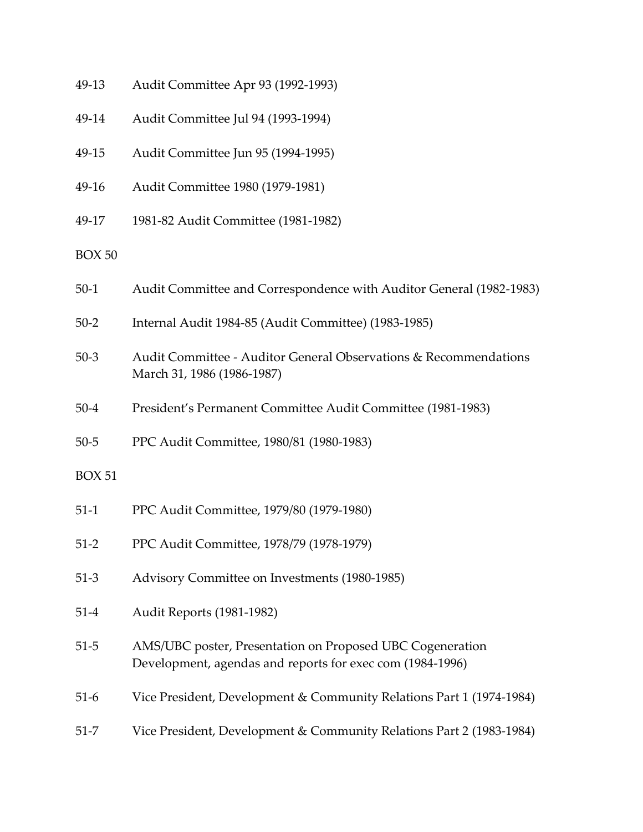| 49-13 | Audit Committee Apr 93 (1992-1993) |  |  |
|-------|------------------------------------|--|--|
|-------|------------------------------------|--|--|

- 49-14 Audit Committee Jul 94 (1993-1994)
- 49-15 Audit Committee Jun 95 (1994-1995)
- 49-16 Audit Committee 1980 (1979-1981)
- 49-17 1981-82 Audit Committee (1981-1982)

| $50-1$ | Audit Committee and Correspondence with Auditor General (1982-1983) |  |  |  |  |  |  |
|--------|---------------------------------------------------------------------|--|--|--|--|--|--|
|--------|---------------------------------------------------------------------|--|--|--|--|--|--|

- 50-2 Internal Audit 1984-85 (Audit Committee) (1983-1985)
- 50-3 Audit Committee Auditor General Observations & Recommendations March 31, 1986 (1986-1987)
- 50-4 President's Permanent Committee Audit Committee (1981-1983)
- 50-5 PPC Audit Committee, 1980/81 (1980-1983)

- 51-1 PPC Audit Committee, 1979/80 (1979-1980)
- 51-2 PPC Audit Committee, 1978/79 (1978-1979)
- 51-3 Advisory Committee on Investments (1980-1985)
- 51-4 Audit Reports (1981-1982)
- 51-5 AMS/UBC poster, Presentation on Proposed UBC Cogeneration Development, agendas and reports for exec com (1984-1996)
- 51-6 Vice President, Development & Community Relations Part 1 (1974-1984)
- 51-7 Vice President, Development & Community Relations Part 2 (1983-1984)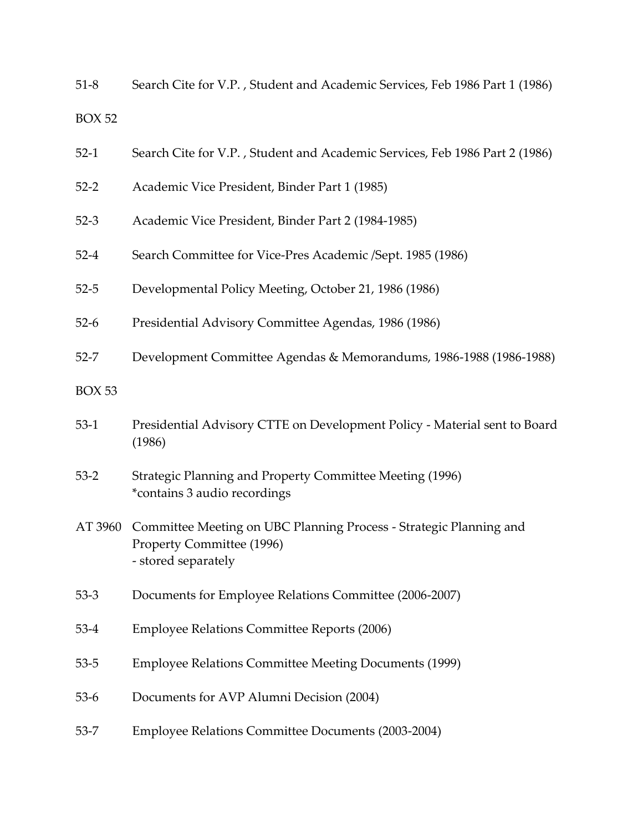51-8 Search Cite for V.P. , Student and Academic Services, Feb 1986 Part 1 (1986) BOX 52

- 52-1 Search Cite for V.P. , Student and Academic Services, Feb 1986 Part 2 (1986)
- 52-2 Academic Vice President, Binder Part 1 (1985)
- 52-3 Academic Vice President, Binder Part 2 (1984-1985)
- 52-4 Search Committee for Vice-Pres Academic /Sept. 1985 (1986)
- 52-5 Developmental Policy Meeting, October 21, 1986 (1986)
- 52-6 Presidential Advisory Committee Agendas, 1986 (1986)
- 52-7 Development Committee Agendas & Memorandums, 1986-1988 (1986-1988)
- BOX 53
- 53-1 Presidential Advisory CTTE on Development Policy Material sent to Board (1986)
- 53-2 Strategic Planning and Property Committee Meeting (1996) \*contains 3 audio recordings
- AT 3960 Committee Meeting on UBC Planning Process Strategic Planning and Property Committee (1996) - stored separately
- 53-3 Documents for Employee Relations Committee (2006-2007)
- 53-4 Employee Relations Committee Reports (2006)
- 53-5 Employee Relations Committee Meeting Documents (1999)
- 53-6 Documents for AVP Alumni Decision (2004)
- 53-7 Employee Relations Committee Documents (2003-2004)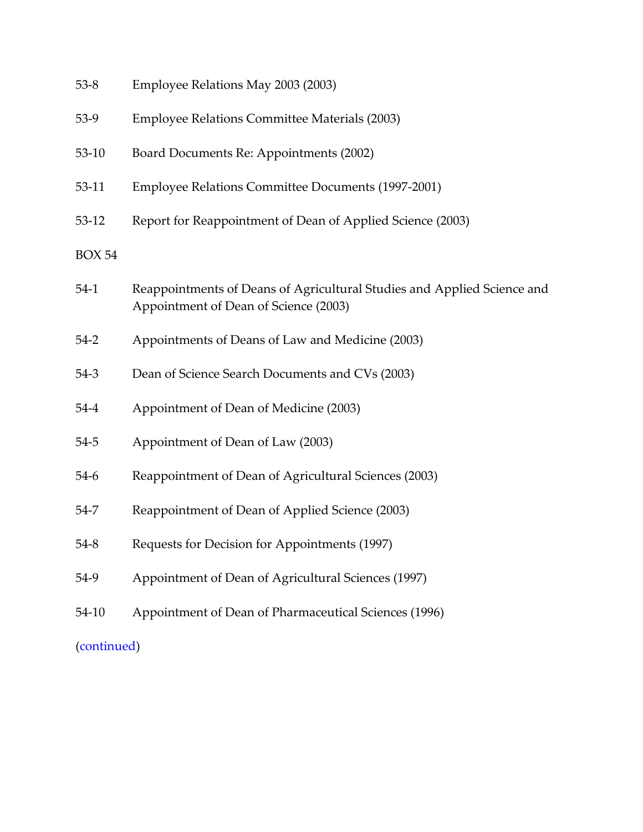| $53 - 8$      | Employee Relations May 2003 (2003)                                                                               |
|---------------|------------------------------------------------------------------------------------------------------------------|
| $53-9$        | Employee Relations Committee Materials (2003)                                                                    |
| $53-10$       | Board Documents Re: Appointments (2002)                                                                          |
| 53-11         | Employee Relations Committee Documents (1997-2001)                                                               |
| $53-12$       | Report for Reappointment of Dean of Applied Science (2003)                                                       |
| <b>BOX 54</b> |                                                                                                                  |
| $54-1$        | Reappointments of Deans of Agricultural Studies and Applied Science and<br>Appointment of Dean of Science (2003) |
| $54-2$        | Appointments of Deans of Law and Medicine (2003)                                                                 |
| $54-3$        | Dean of Science Search Documents and CVs (2003)                                                                  |
| $54-4$        | Appointment of Dean of Medicine (2003)                                                                           |
| $54 - 5$      | Appointment of Dean of Law (2003)                                                                                |
| $54-6$        | Reappointment of Dean of Agricultural Sciences (2003)                                                            |
| 54-7          | Reappointment of Dean of Applied Science (2003)                                                                  |
| $54 - 8$      | Requests for Decision for Appointments (1997)                                                                    |
| 54-9          | Appointment of Dean of Agricultural Sciences (1997)                                                              |
| 54-10         | Appointment of Dean of Pharmaceutical Sciences (1996)                                                            |
| (continued)   |                                                                                                                  |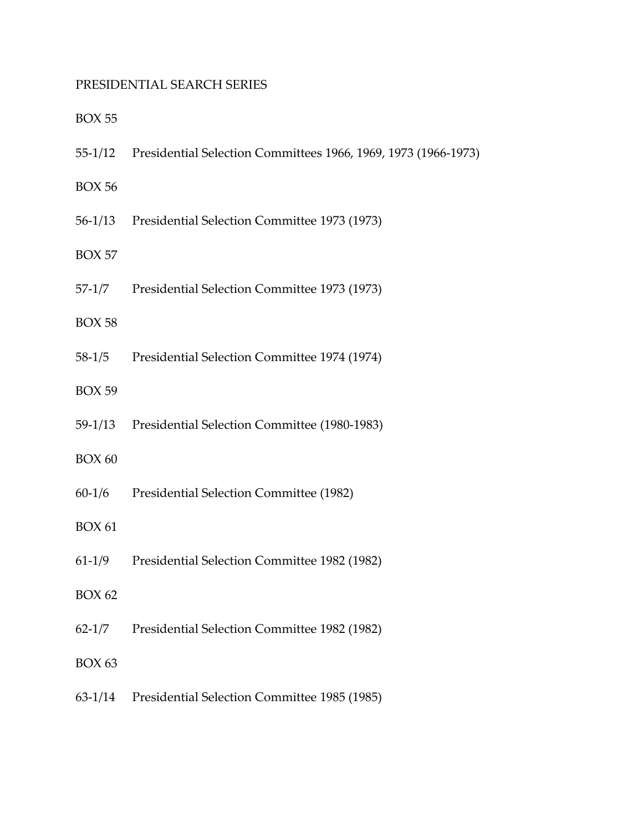# <span id="page-41-0"></span>PRESIDENTIAL SEARCH SERIES

|               | 55-1/12 Presidential Selection Committees 1966, 1969, 1973 (1966-1973) |
|---------------|------------------------------------------------------------------------|
| <b>BOX 56</b> |                                                                        |
|               | 56-1/13 Presidential Selection Committee 1973 (1973)                   |
| <b>BOX 57</b> |                                                                        |
|               | 57-1/7 Presidential Selection Committee 1973 (1973)                    |
| <b>BOX 58</b> |                                                                        |
| 58-1/5        | Presidential Selection Committee 1974 (1974)                           |
| <b>BOX 59</b> |                                                                        |
|               | 59-1/13 Presidential Selection Committee (1980-1983)                   |
| <b>BOX 60</b> |                                                                        |
| $60-1/6$      | Presidential Selection Committee (1982)                                |
| <b>BOX 61</b> |                                                                        |
| $61-1/9$      | Presidential Selection Committee 1982 (1982)                           |
| <b>BOX 62</b> |                                                                        |
|               | 62-1/7 Presidential Selection Committee 1982 (1982)                    |
| <b>BOX 63</b> |                                                                        |
|               | 63-1/14 Presidential Selection Committee 1985 (1985)                   |
|               |                                                                        |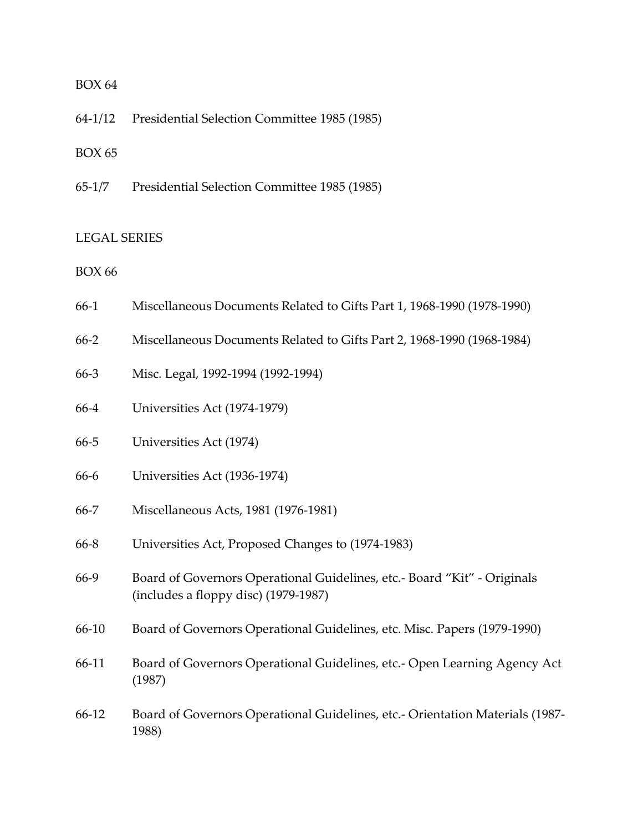64-1/12 Presidential Selection Committee 1985 (1985)

BOX 65

65-1/7 Presidential Selection Committee 1985 (1985)

#### <span id="page-42-0"></span>LEGAL SERIES

- 66-1 Miscellaneous Documents Related to Gifts Part 1, 1968-1990 (1978-1990)
- 66-2 Miscellaneous Documents Related to Gifts Part 2, 1968-1990 (1968-1984)
- 66-3 Misc. Legal, 1992-1994 (1992-1994)
- 66-4 Universities Act (1974-1979)
- 66-5 Universities Act (1974)
- 66-6 Universities Act (1936-1974)
- 66-7 Miscellaneous Acts, 1981 (1976-1981)
- 66-8 Universities Act, Proposed Changes to (1974-1983)
- 66-9 Board of Governors Operational Guidelines, etc.- Board "Kit" Originals (includes a floppy disc) (1979-1987)
- 66-10 Board of Governors Operational Guidelines, etc. Misc. Papers (1979-1990)
- 66-11 Board of Governors Operational Guidelines, etc.- Open Learning Agency Act (1987)
- 66-12 Board of Governors Operational Guidelines, etc.- Orientation Materials (1987- 1988)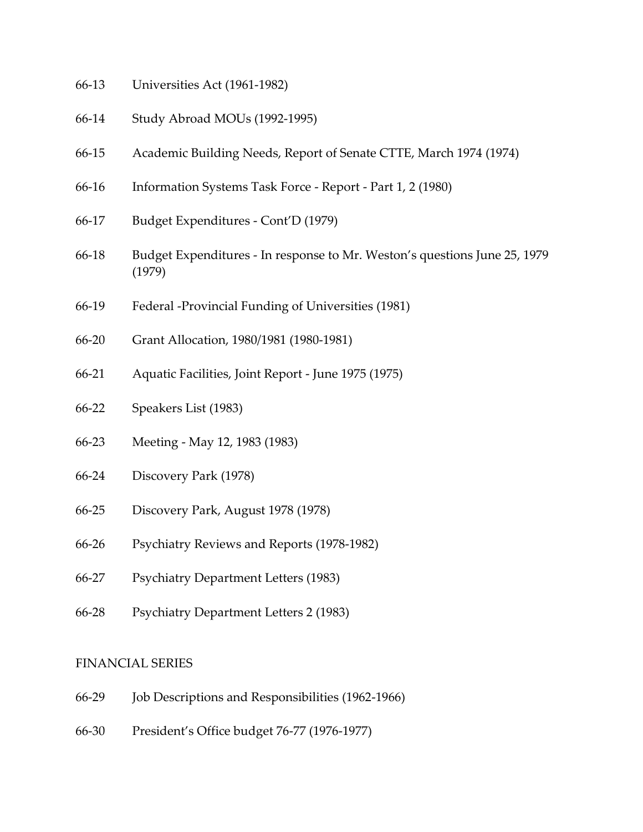- 66-13 Universities Act (1961-1982)
- 66-14 Study Abroad MOUs (1992-1995)
- 66-15 Academic Building Needs, Report of Senate CTTE, March 1974 (1974)
- 66-16 Information Systems Task Force Report Part 1, 2 (1980)
- 66-17 Budget Expenditures Cont'D (1979)
- 66-18 Budget Expenditures In response to Mr. Weston's questions June 25, 1979 (1979)
- 66-19 Federal -Provincial Funding of Universities (1981)
- 66-20 Grant Allocation, 1980/1981 (1980-1981)
- 66-21 Aquatic Facilities, Joint Report June 1975 (1975)
- 66-22 Speakers List (1983)
- 66-23 Meeting May 12, 1983 (1983)
- 66-24 Discovery Park (1978)
- 66-25 Discovery Park, August 1978 (1978)
- 66-26 Psychiatry Reviews and Reports (1978-1982)
- 66-27 Psychiatry Department Letters (1983)
- 66-28 Psychiatry Department Letters 2 (1983)

#### <span id="page-43-0"></span>FINANCIAL SERIES

- 66-29 Job Descriptions and Responsibilities (1962-1966)
- 66-30 President's Office budget 76-77 (1976-1977)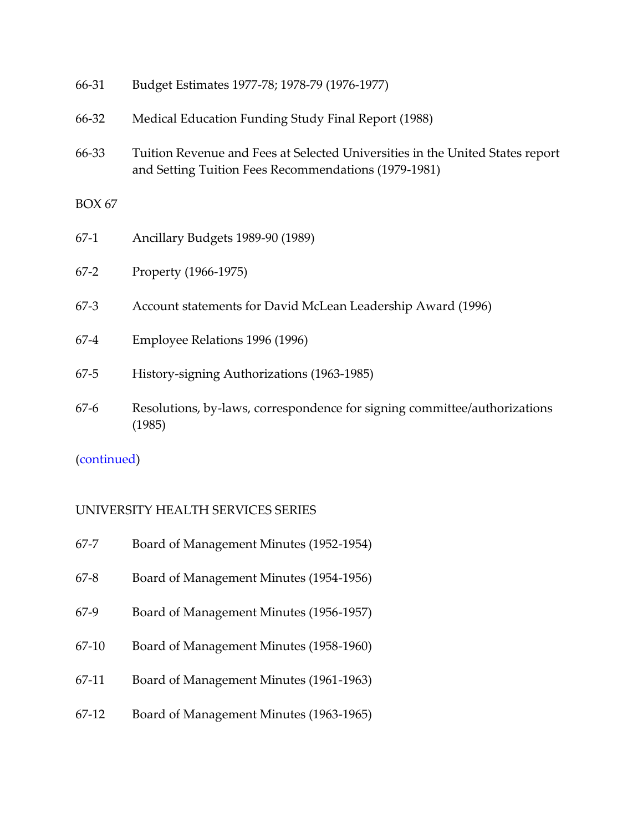| 66-31         | Budget Estimates 1977-78; 1978-79 (1976-1977)                                                                                         |
|---------------|---------------------------------------------------------------------------------------------------------------------------------------|
| 66-32         | Medical Education Funding Study Final Report (1988)                                                                                   |
| 66-33         | Tuition Revenue and Fees at Selected Universities in the United States report<br>and Setting Tuition Fees Recommendations (1979-1981) |
| <b>BOX 67</b> |                                                                                                                                       |
| $67-1$        | Ancillary Budgets 1989-90 (1989)                                                                                                      |
| $67-2$        | Property (1966-1975)                                                                                                                  |
| $67-3$        | Account statements for David McLean Leadership Award (1996)                                                                           |
| $67 - 4$      | Employee Relations 1996 (1996)                                                                                                        |
| $67 - 5$      | History-signing Authorizations (1963-1985)                                                                                            |
| $67-6$        | Resolutions, by-laws, correspondence for signing committee/authorizations<br>(1985)                                                   |

[\(continued\)](#page-49-1)

# <span id="page-44-0"></span>UNIVERSITY HEALTH SERVICES SERIES

| $67 - 7$ | Board of Management Minutes (1952-1954) |  |  |
|----------|-----------------------------------------|--|--|
|----------|-----------------------------------------|--|--|

- 67-8 Board of Management Minutes (1954-1956)
- 67-9 Board of Management Minutes (1956-1957)
- 67-10 Board of Management Minutes (1958-1960)
- 67-11 Board of Management Minutes (1961-1963)
- 67-12 Board of Management Minutes (1963-1965)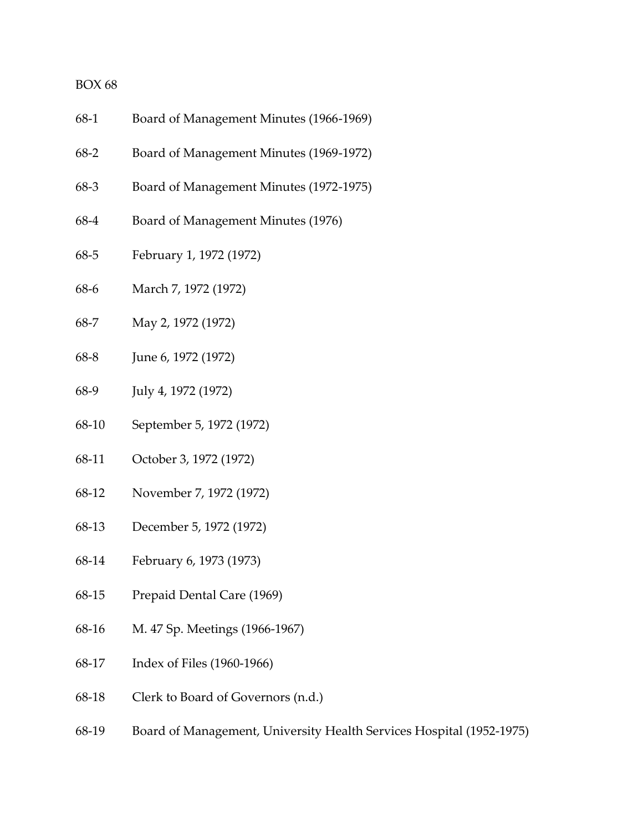| Board of Management Minutes (1966-1969) |
|-----------------------------------------|
|                                         |

- 68-2 Board of Management Minutes (1969-1972)
- 68-3 Board of Management Minutes (1972-1975)
- 68-4 Board of Management Minutes (1976)
- 68-5 February 1, 1972 (1972)
- 68-6 March 7, 1972 (1972)
- 68-7 May 2, 1972 (1972)
- 68-8 June 6, 1972 (1972)
- 68-9 July 4, 1972 (1972)
- 68-10 September 5, 1972 (1972)
- 68-11 October 3, 1972 (1972)
- 68-12 November 7, 1972 (1972)
- 68-13 December 5, 1972 (1972)
- 68-14 February 6, 1973 (1973)
- 68-15 Prepaid Dental Care (1969)
- 68-16 M. 47 Sp. Meetings (1966-1967)
- 68-17 Index of Files (1960-1966)
- 68-18 Clerk to Board of Governors (n.d.)
- 68-19 Board of Management, University Health Services Hospital (1952-1975)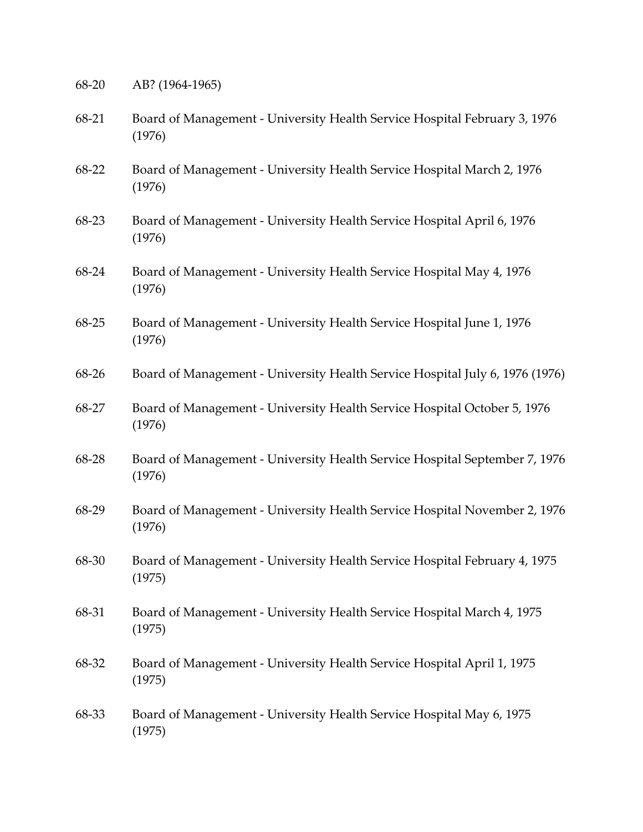- 68-20 AB? (1964-1965)
- 68-21 Board of Management University Health Service Hospital February 3, 1976 (1976)
- 68-22 Board of Management University Health Service Hospital March 2, 1976 (1976)
- 68-23 Board of Management University Health Service Hospital April 6, 1976 (1976)
- 68-24 Board of Management University Health Service Hospital May 4, 1976 (1976)
- 68-25 Board of Management University Health Service Hospital June 1, 1976 (1976)
- 68-26 Board of Management University Health Service Hospital July 6, 1976 (1976)
- 68-27 Board of Management University Health Service Hospital October 5, 1976 (1976)
- 68-28 Board of Management University Health Service Hospital September 7, 1976 (1976)
- 68-29 Board of Management University Health Service Hospital November 2, 1976 (1976)
- 68-30 Board of Management University Health Service Hospital February 4, 1975 (1975)
- 68-31 Board of Management University Health Service Hospital March 4, 1975 (1975)
- 68-32 Board of Management University Health Service Hospital April 1, 1975 (1975)
- 68-33 Board of Management University Health Service Hospital May 6, 1975 (1975)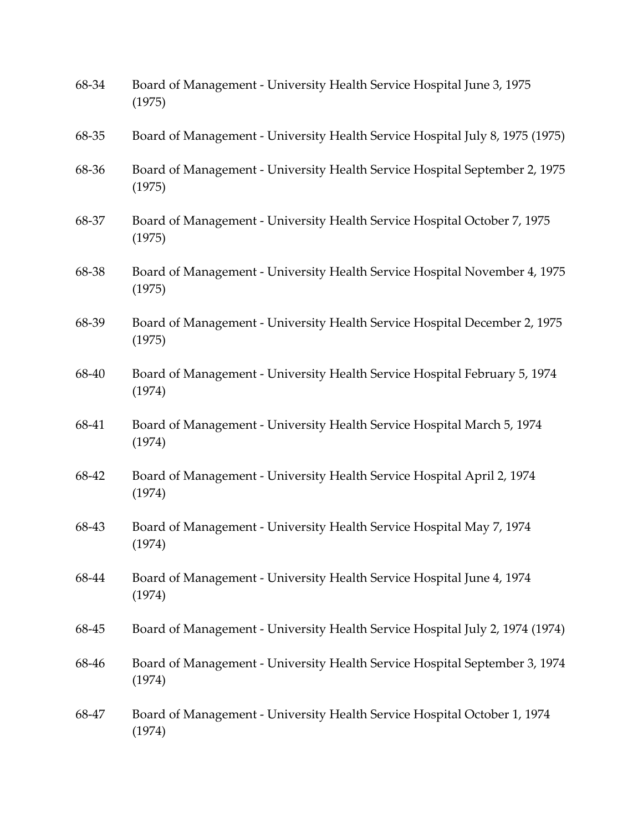| 68-34 | Board of Management - University Health Service Hospital June 3, 1975<br>(1975)      |
|-------|--------------------------------------------------------------------------------------|
| 68-35 | Board of Management - University Health Service Hospital July 8, 1975 (1975)         |
| 68-36 | Board of Management - University Health Service Hospital September 2, 1975<br>(1975) |
| 68-37 | Board of Management - University Health Service Hospital October 7, 1975<br>(1975)   |
| 68-38 | Board of Management - University Health Service Hospital November 4, 1975<br>(1975)  |
| 68-39 | Board of Management - University Health Service Hospital December 2, 1975<br>(1975)  |
| 68-40 | Board of Management - University Health Service Hospital February 5, 1974<br>(1974)  |
| 68-41 | Board of Management - University Health Service Hospital March 5, 1974<br>(1974)     |
| 68-42 | Board of Management - University Health Service Hospital April 2, 1974<br>(1974)     |
| 68-43 | Board of Management - University Health Service Hospital May 7, 1974<br>(1974)       |
| 68-44 | Board of Management - University Health Service Hospital June 4, 1974<br>(1974)      |
| 68-45 | Board of Management - University Health Service Hospital July 2, 1974 (1974)         |
| 68-46 | Board of Management - University Health Service Hospital September 3, 1974<br>(1974) |
| 68-47 | Board of Management - University Health Service Hospital October 1, 1974<br>(1974)   |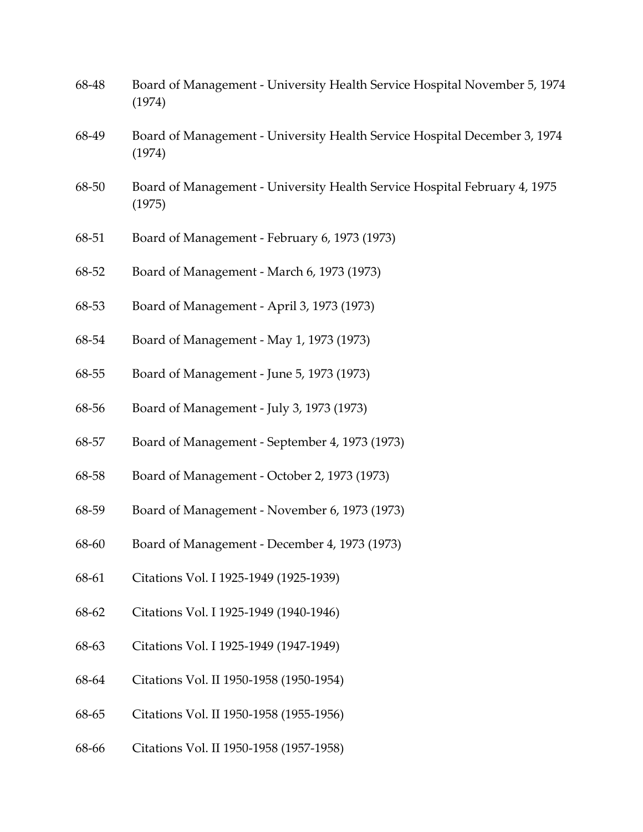| 68-48 | Board of Management - University Health Service Hospital November 5, 1974<br>(1974) |
|-------|-------------------------------------------------------------------------------------|
| 68-49 | Board of Management - University Health Service Hospital December 3, 1974<br>(1974) |
| 68-50 | Board of Management - University Health Service Hospital February 4, 1975<br>(1975) |
| 68-51 | Board of Management - February 6, 1973 (1973)                                       |
| 68-52 | Board of Management - March 6, 1973 (1973)                                          |
| 68-53 | Board of Management - April 3, 1973 (1973)                                          |
| 68-54 | Board of Management - May 1, 1973 (1973)                                            |
| 68-55 | Board of Management - June 5, 1973 (1973)                                           |
| 68-56 | Board of Management - July 3, 1973 (1973)                                           |
| 68-57 | Board of Management - September 4, 1973 (1973)                                      |
| 68-58 | Board of Management - October 2, 1973 (1973)                                        |
| 68-59 | Board of Management - November 6, 1973 (1973)                                       |
| 68-60 | Board of Management - December 4, 1973 (1973)                                       |
| 68-61 | Citations Vol. I 1925-1949 (1925-1939)                                              |
| 68-62 | Citations Vol. I 1925-1949 (1940-1946)                                              |
| 68-63 | Citations Vol. I 1925-1949 (1947-1949)                                              |
| 68-64 | Citations Vol. II 1950-1958 (1950-1954)                                             |
| 68-65 | Citations Vol. II 1950-1958 (1955-1956)                                             |
| 68-66 | Citations Vol. II 1950-1958 (1957-1958)                                             |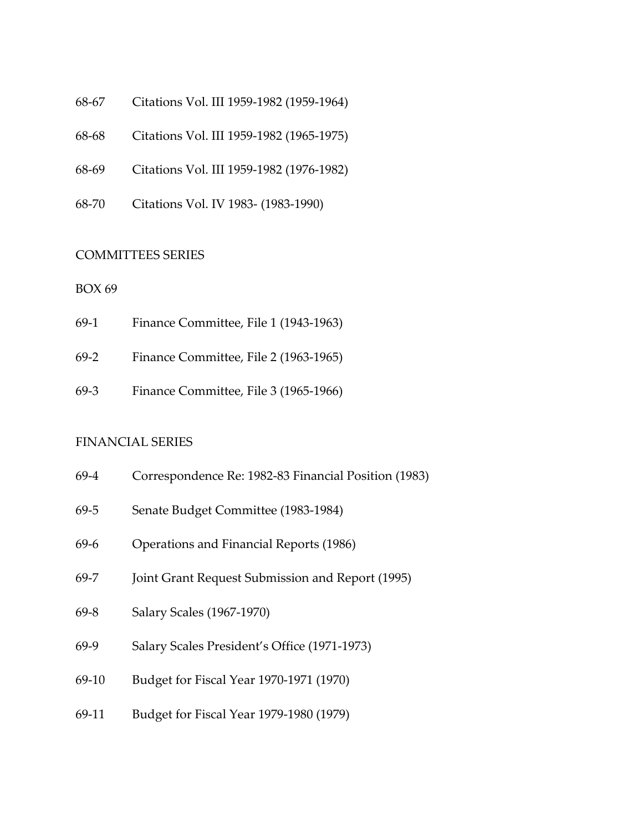- 68-67 Citations Vol. III 1959-1982 (1959-1964)
- 68-68 Citations Vol. III 1959-1982 (1965-1975)
- 68-69 Citations Vol. III 1959-1982 (1976-1982)
- 68-70 Citations Vol. IV 1983- (1983-1990)

#### <span id="page-49-0"></span>COMMITTEES SERIES

#### BOX 69

- 69-1 Finance Committee, File 1 (1943-1963)
- 69-2 Finance Committee, File 2 (1963-1965)
- 69-3 Finance Committee, File 3 (1965-1966)

#### <span id="page-49-1"></span>FINANCIAL SERIES

- 69-4 Correspondence Re: 1982-83 Financial Position (1983)
- 69-5 Senate Budget Committee (1983-1984)
- 69-6 Operations and Financial Reports (1986)
- 69-7 Joint Grant Request Submission and Report (1995)
- 69-8 Salary Scales (1967-1970)
- 69-9 Salary Scales President's Office (1971-1973)
- 69-10 Budget for Fiscal Year 1970-1971 (1970)
- 69-11 Budget for Fiscal Year 1979-1980 (1979)